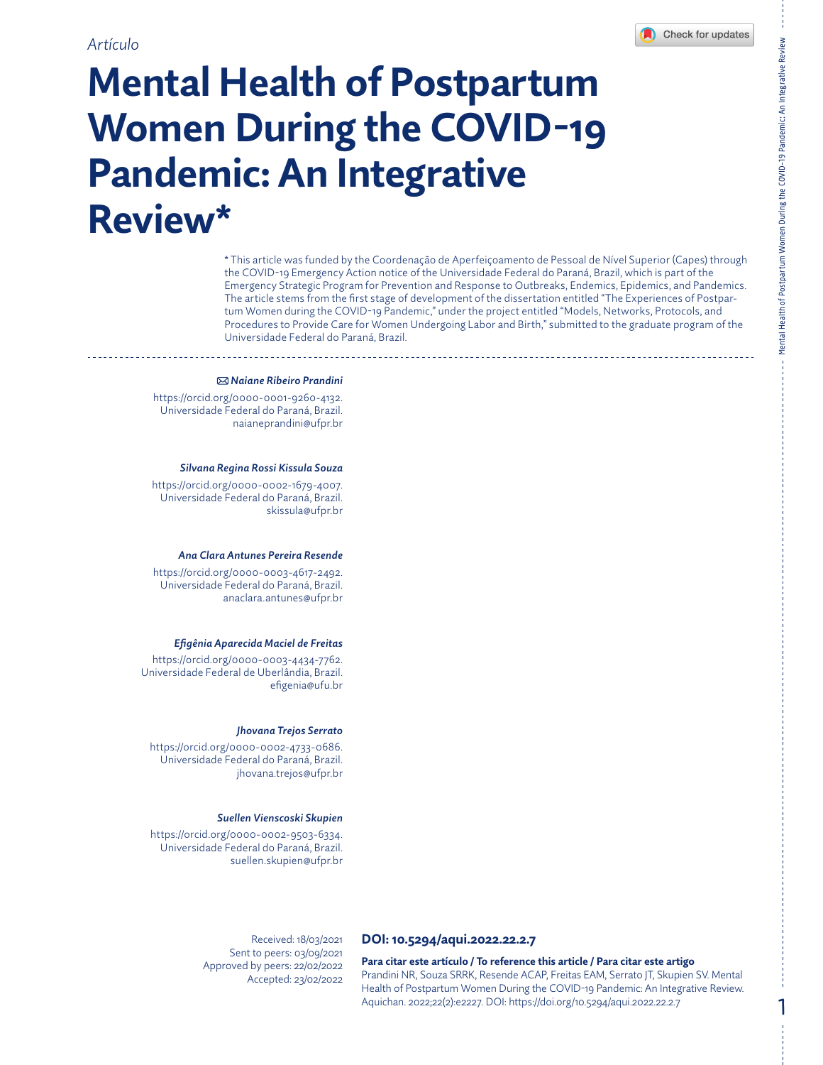Mental Health of Postpartum Women During the COVID-19 Pandemic: An Integrative Review

Mental Health of Postpartum Women During the COVID-19 Pandemic: An Integrative Review

1

# **Mental Health of Postpartum Women During the COVID-19 Pandemic: An Integrative Review\***

\* This article was funded by the Coordenação de Aperfeiçoamento de Pessoal de Nível Superior (Capes) through the COVID-19 Emergency Action notice of the Universidade Federal do Paraná, Brazil, which is part of the Emergency Strategic Program for Prevention and Response to Outbreaks, Endemics, Epidemics, and Pandemics. The article stems from the first stage of development of the dissertation entitled "The Experiences of Postpartum Women during the COVID-19 Pandemic," under the project entitled "Models, Networks, Protocols, and Procedures to Provide Care for Women Undergoing Labor and Birth," submitted to the graduate program of the Universidade Federal do Paraná, Brazil.

#### *Naiane Ribeiro Prandini*

<https://orcid.org/0000-0001-9260-4132>. Universidade Federal do Paraná, Brazil. [naianeprandini@ufpr.br](mailto:naianeprandini@ufpr.br)

#### *Silvana Regina Rossi Kissula Souza*

<https://orcid.org/0000-0002-1679-4007>. Universidade Federal do Paraná, Brazil. [skissula@ufpr.br](mailto:skissula@ufpr.br)

#### *Ana Clara Antunes Pereira Resende*

<https://orcid.org/0000-0003-4617-2492>. Universidade Federal do Paraná, Brazil. [anaclara.antunes@ufpr.br](mailto:anaclara.antunes@ufpr.br)

#### *Efigênia Aparecida Maciel de Freitas*

<https://orcid.org/0000-0003-4434-7762>. Universidade Federal de Uberlândia, Brazil. [efigenia@ufu.br](mailto:efigenia@ufu.br)

#### *Jhovana Trejos Serrato*

<https://orcid.org/0000-0002-4733-0686>. Universidade Federal do Paraná, Brazil. [jhovana.trejos@ufpr.br](mailto:jhovana.trejos@ufpr.br)

#### *Suellen Vienscoski Skupien*

<https://orcid.org/0000-0002-9503-6334>. Universidade Federal do Paraná, Brazil. [suellen.skupien@ufpr.br](mailto:suellen.skupien@ufpr.br)

> Received: 18/03/2021 Sent to peers: 03/09/2021 Approved by peers: 22/02/2022 Accepted: 23/02/2022

### **DOI: [10.5294/aqui.2022.22.2.7](https://doi.org/10.5294/aqui.2022.22.2.7)**

**Para citar este artículo / To reference this article / Para citar este artigo** Prandini NR, Souza SRRK, Resende ACAP, Freitas EAM, Serrato JT, Skupien SV. Mental Health of Postpartum Women During the COVID-19 Pandemic: An Integrative Review. Aquichan. 2022;22(2):e2227. DOI: <https://doi.org/10.5294/aqui.2022.22.2.7>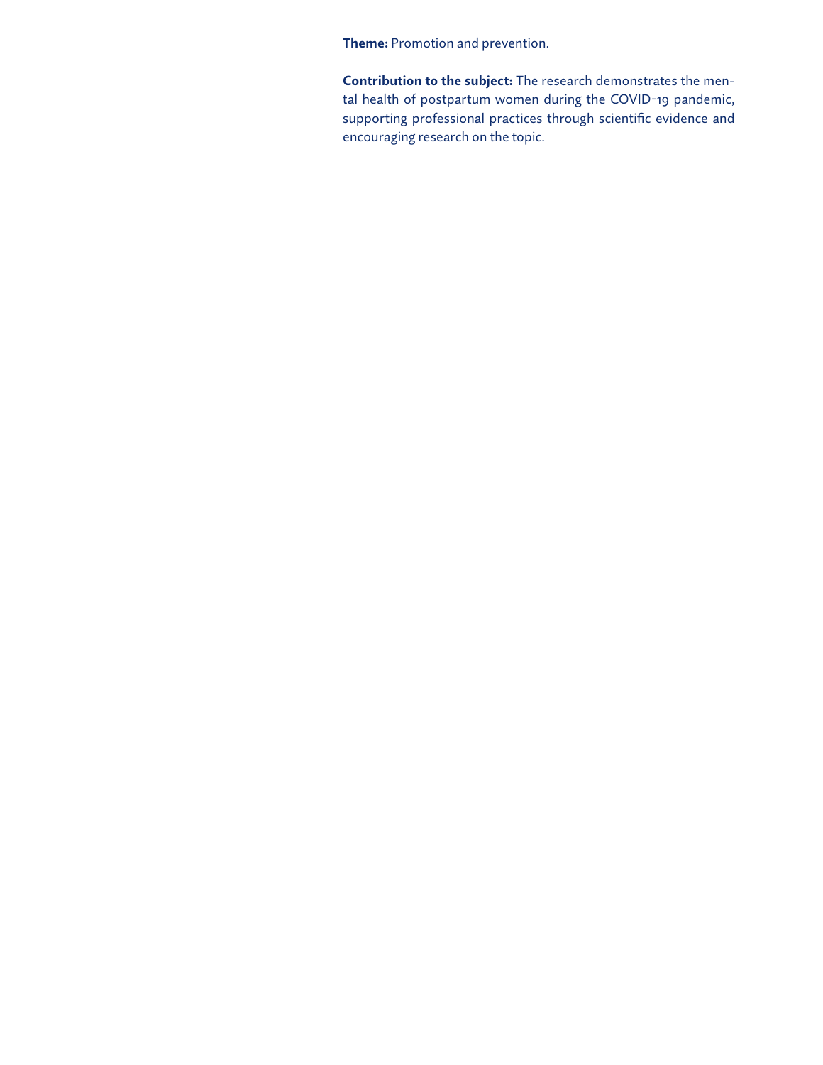**Theme:** Promotion and prevention.

**Contribution to the subject:** The research demonstrates the mental health of postpartum women during the COVID-19 pandemic, supporting professional practices through scientific evidence and encouraging research on the topic.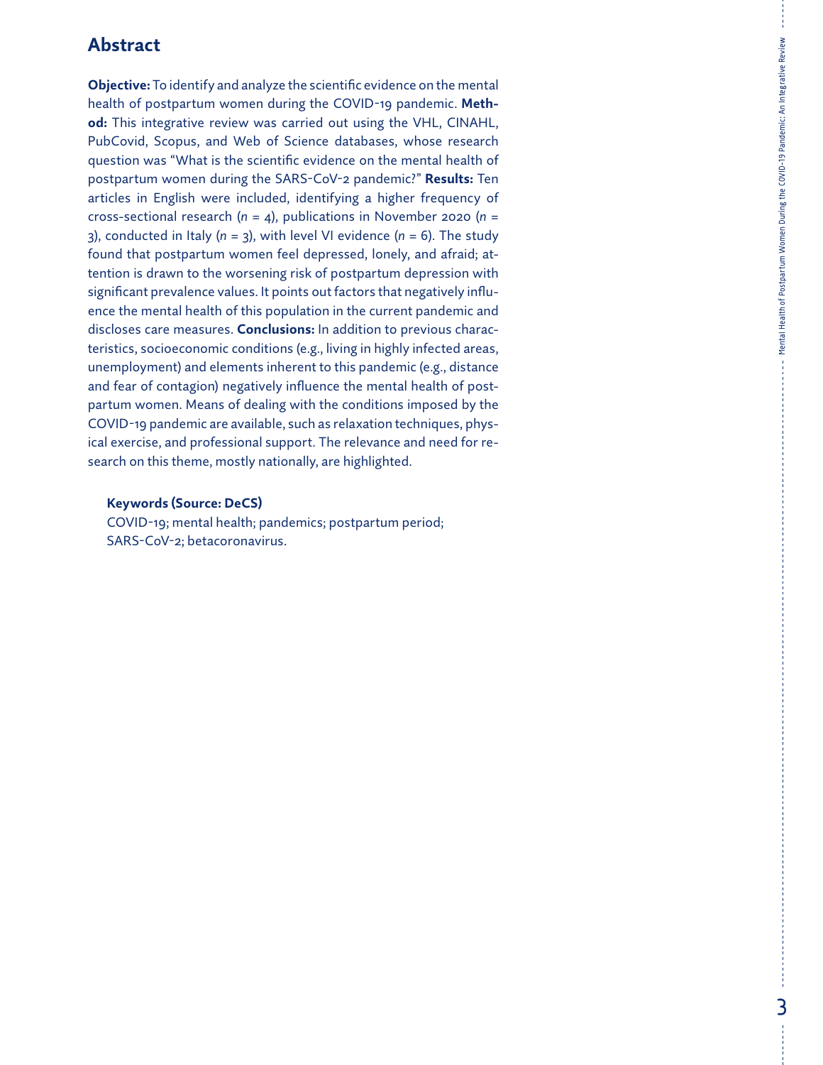### **Abstract**

**Objective:** To identify and analyze the scientific evidence on the mental health of postpartum women during the COVID-19 pandemic. **Method:** This integrative review was carried out using the VHL, CINAHL, PubCovid, Scopus, and Web of Science databases, whose research question was "What is the scientific evidence on the mental health of postpartum women during the SARS-CoV-2 pandemic?" **Results:** Ten articles in English were included, identifying a higher frequency of cross-sectional research (*n* = 4), publications in November 2020 (*n* = 3), conducted in Italy (*n* = 3), with level VI evidence (*n* = 6). The study found that postpartum women feel depressed, lonely, and afraid; attention is drawn to the worsening risk of postpartum depression with significant prevalence values. It points out factors that negatively influence the mental health of this population in the current pandemic and discloses care measures. **Conclusions:** In addition to previous characteristics, socioeconomic conditions (e.g., living in highly infected areas, unemployment) and elements inherent to this pandemic (e.g., distance and fear of contagion) negatively influence the mental health of postpartum women. Means of dealing with the conditions imposed by the COVID-19 pandemic are available, such as relaxation techniques, physical exercise, and professional support. The relevance and need for research on this theme, mostly nationally, are highlighted.

### **Keywords (Source: DeCS)**

COVID-19; mental health; pandemics; postpartum period; SARS-CoV-2; betacoronavirus.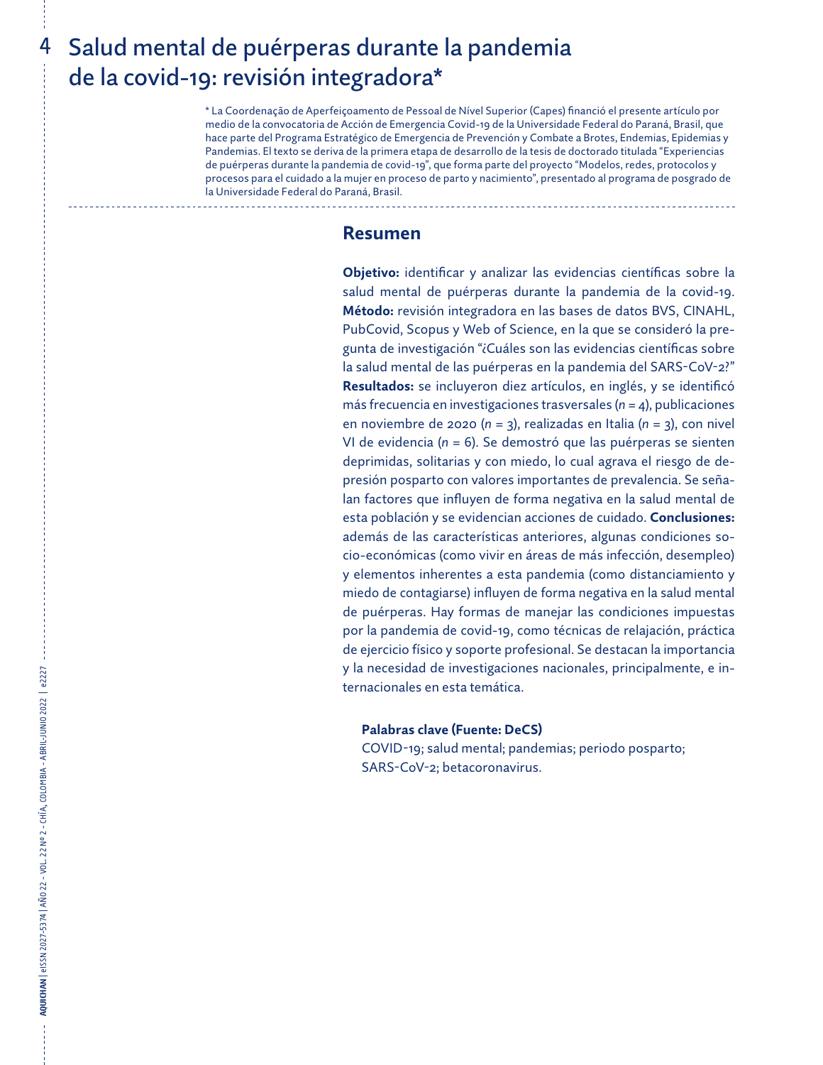## 4 Salud mental de puérperas durante la pandemia de la covid-19: revisión integradora\*

\* La Coordenação de Aperfeiçoamento de Pessoal de Nível Superior (Capes) financió el presente artículo por medio de la convocatoria de Acción de Emergencia Covid-19 de la Universidade Federal do Paraná, Brasil, que hace parte del Programa Estratégico de Emergencia de Prevención y Combate a Brotes, Endemias, Epidemias y Pandemias. El texto se deriva de la primera etapa de desarrollo de la tesis de doctorado titulada "Experiencias de puérperas durante la pandemia de covid-19", que forma parte del proyecto "Modelos, redes, protocolos y procesos para el cuidado a la mujer en proceso de parto y nacimiento", presentado al programa de posgrado de la Universidade Federal do Paraná, Brasil.

### **Resumen**

**Objetivo:** identificar y analizar las evidencias científicas sobre la salud mental de puérperas durante la pandemia de la covid-19. **Método:** revisión integradora en las bases de datos BVS, CINAHL, PubCovid, Scopus y Web of Science, en la que se consideró la pregunta de investigación "¿Cuáles son las evidencias científicas sobre la salud mental de las puérperas en la pandemia del SARS-CoV-2?" **Resultados:** se incluyeron diez artículos, en inglés, y se identificó más frecuencia en investigaciones trasversales (*n* = 4), publicaciones en noviembre de 2020 (*n* = 3), realizadas en Italia (*n* = 3), con nivel VI de evidencia (*n* = 6). Se demostró que las puérperas se sienten deprimidas, solitarias y con miedo, lo cual agrava el riesgo de depresión posparto con valores importantes de prevalencia. Se señalan factores que influyen de forma negativa en la salud mental de esta población y se evidencian acciones de cuidado. **Conclusiones:** además de las características anteriores, algunas condiciones socio-económicas (como vivir en áreas de más infección, desempleo) y elementos inherentes a esta pandemia (como distanciamiento y miedo de contagiarse) influyen de forma negativa en la salud mental de puérperas. Hay formas de manejar las condiciones impuestas por la pandemia de covid-19, como técnicas de relajación, práctica de ejercicio físico y soporte profesional. Se destacan la importancia y la necesidad de investigaciones nacionales, principalmente, e internacionales en esta temática.

### **Palabras clave (Fuente: DeCS)**

COVID-19; salud mental; pandemias; periodo posparto; SARS-CoV-2; betacoronavirus.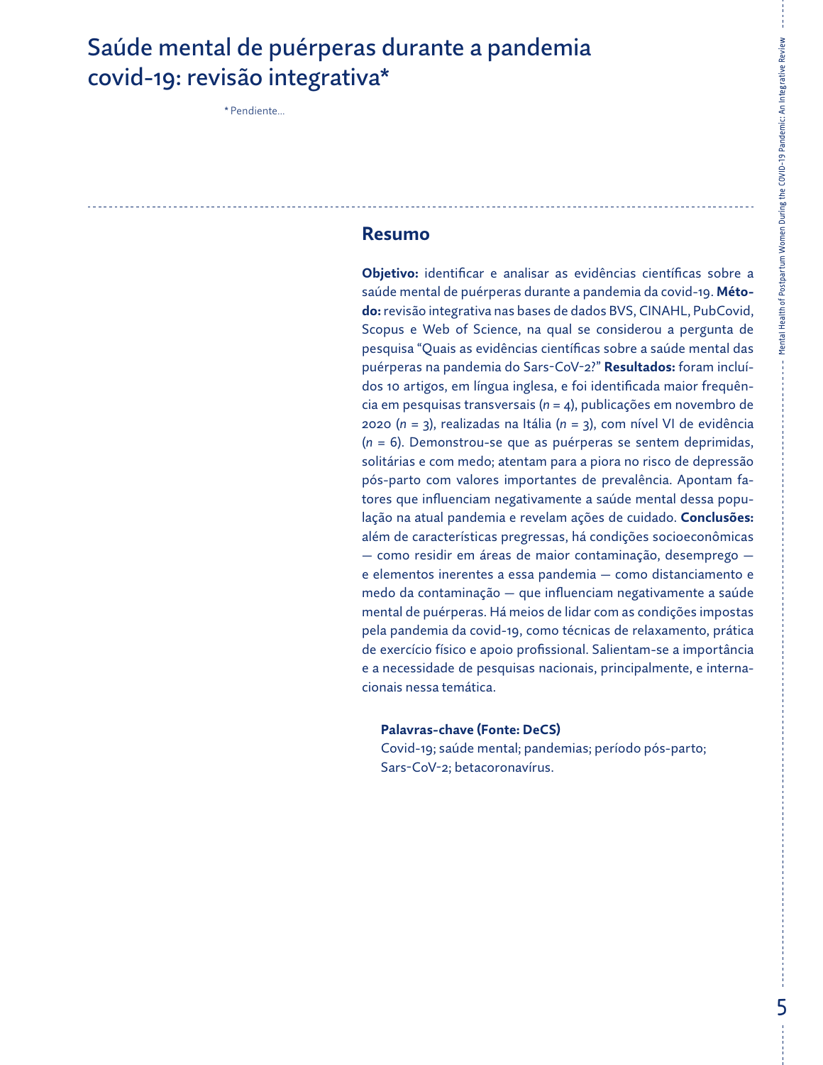## Saúde mental de puérperas durante a pandemia covid-19: revisão integrativa\*

\* Pendiente...

### **Resumo**

**Objetivo:** identificar e analisar as evidências científicas sobre a saúde mental de puérperas durante a pandemia da covid-19. **Método:** revisão integrativa nas bases de dados BVS, CINAHL, PubCovid, Scopus e Web of Science, na qual se considerou a pergunta de pesquisa "Quais as evidências científicas sobre a saúde mental das puérperas na pandemia do Sars-CoV-2?" **Resultados:** foram incluídos 10 artigos, em língua inglesa, e foi identificada maior frequência em pesquisas transversais (*n* = 4), publicações em novembro de 2020 (*n* = 3), realizadas na Itália (*n* = 3), com nível VI de evidência (*n* = 6). Demonstrou-se que as puérperas se sentem deprimidas, solitárias e com medo; atentam para a piora no risco de depressão pós-parto com valores importantes de prevalência. Apontam fatores que influenciam negativamente a saúde mental dessa população na atual pandemia e revelam ações de cuidado. **Conclusões:** além de características pregressas, há condições socioeconômicas — como residir em áreas de maior contaminação, desemprego e elementos inerentes a essa pandemia — como distanciamento e medo da contaminação — que influenciam negativamente a saúde mental de puérperas. Há meios de lidar com as condições impostas pela pandemia da covid-19, como técnicas de relaxamento, prática de exercício físico e apoio profissional. Salientam-se a importância e a necessidade de pesquisas nacionais, principalmente, e internacionais nessa temática.

### **Palavras-chave (Fonte: DeCS)**

Covid-19; saúde mental; pandemias; período pós-parto; Sars-CoV-2; betacoronavírus.

Mental Health of Postpartum Women During the COVID-19 Pandemic: An Integrative Review

Mental Health of Postpartum Women During the COVID-19 Pandemic: An Integrative Review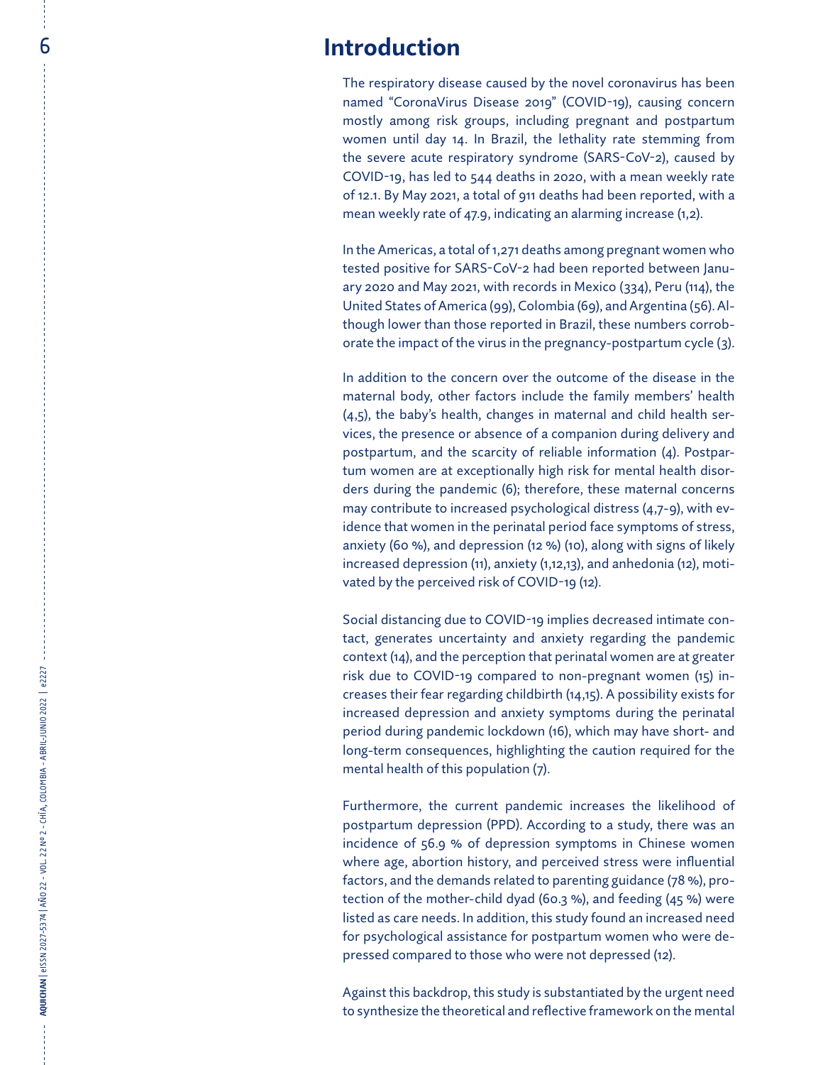The respiratory disease caused by the novel coronavirus has been named "CoronaVirus Disease 2019" (COVID-19), causing concern mostly among risk groups, including pregnant and postpartum women until day 14. In Brazil, the lethality rate stemming from the severe acute respiratory syndrome (SARS-CoV-2), caused by COVID-19, has led to 544 deaths in 2020, with a mean weekly rate of 12.1. By May 2021, a total of 911 deaths had been reported, with a mean weekly rate of 47.9, indicating an alarming increase (1,2).

In the Americas, a total of 1,271 deaths among pregnant women who tested positive for SARS-CoV-2 had been reported between Janu ary 2020 and May 2021, with records in Mexico (334), Peru (114), the United States of America (99), Colombia (69), and Argentina (56). Al though lower than those reported in Brazil, these numbers corrob orate the impact of the virus in the pregnancy-postpartum cycle (3).

**Axcelention**<br>
There respirately among risk<br>
women until day<br>
women until day<br>
two mentres actions<br>
the severe actions are considered as the severe actions<br>
of the severe actions and May 2021,<br>
mean weekly rate of<br>
the sta In addition to the concern over the outcome of the disease in the maternal body, other factors include the family members' health (4,5), the baby's health, changes in maternal and child health ser vices, the presence or absence of a companion during delivery and postpartum, and the scarcity of reliable information (4). Postpar tum women are at exceptionally high risk for mental health disor ders during the pandemic (6); therefore, these maternal concerns may contribute to increased psychological distress (4,7-9), with ev idence that women in the perinatal period face symptoms of stress, anxiety (60 %), and depression (12 %) (10), along with signs of likely increased depression (11), anxiety (1,12,13), and anhedonia (12), moti vated by the perceived risk of COVID-19 (12).

Social distancing due to COVID-19 implies decreased intimate con tact, generates uncertainty and anxiety regarding the pandemic context (14), and the perception that perinatal women are at greater risk due to COVID-19 compared to non-pregnant women (15) in creases their fear regarding childbirth (14,15). A possibility exists for increased depression and anxiety symptoms during the perinatal period during pandemic lockdown (16), which may have short- and long-term consequences, highlighting the caution required for the mental health of this population (7).

Furthermore, the current pandemic increases the likelihood of postpartum depression (PPD). According to a study, there was an incidence of 56.9 % of depression symptoms in Chinese women where age, abortion history, and perceived stress were influential factors, and the demands related to parenting guidance (78 %), pro tection of the mother-child dyad (60.3 %), and feeding (45 %) were listed as care needs. In addition, this study found an increased need for psychological assistance for postpartum women who were de pressed compared to those who were not depressed (12).

Against this backdrop, this study is substantiated by the urgent need to synthesize the theoretical and reflective framework on the mental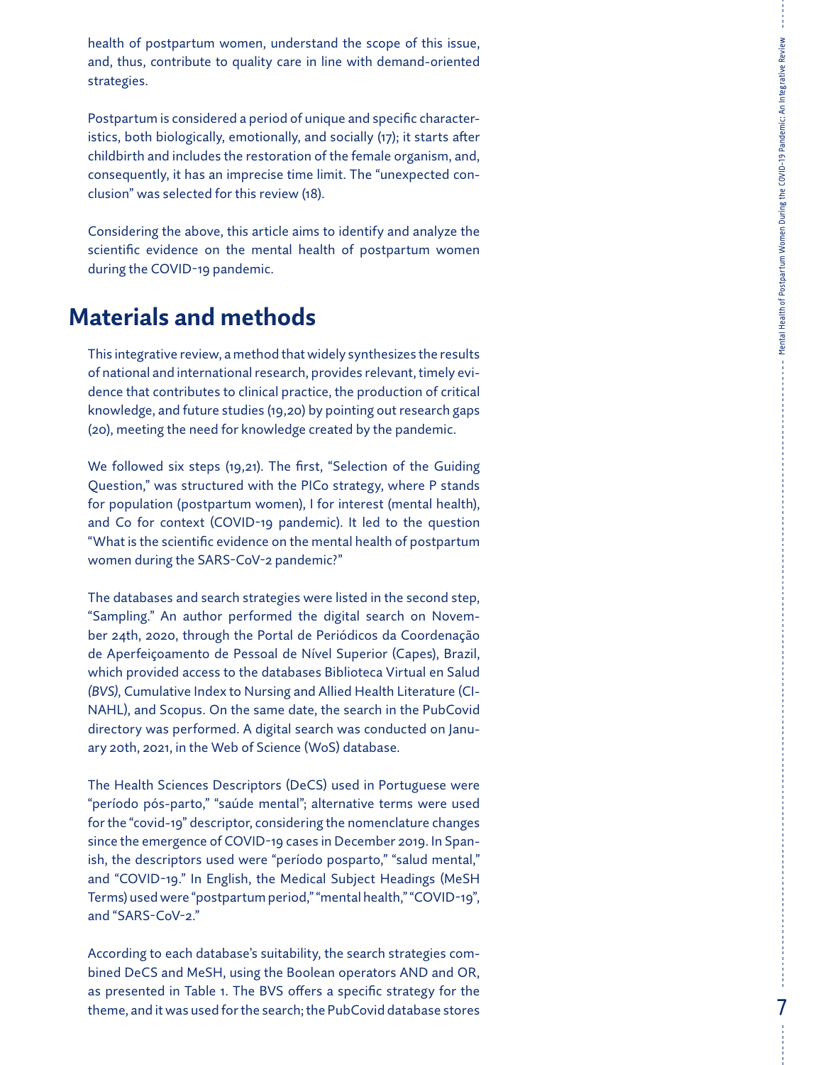health of postpartum women, understand the scope of this issue, and, thus, contribute to quality care in line with demand-oriented strategies.

Postpartum is considered a period of unique and specific character istics, both biologically, emotionally, and socially (17); it starts after childbirth and includes the restoration of the female organism, and, consequently, it has an imprecise time limit. The "unexpected con clusion" was selected for this review (18).

Considering the above, this article aims to identify and analyze the scientific evidence on the mental health of postpartum women during the COVID-19 pandemic.

## **Materials and methods**

This integrative review, a method that widely synthesizes the results of national and international research, provides relevant, timely evi dence that contributes to clinical practice, the production of critical knowledge, and future studies (19,20) by pointing out research gaps (20), meeting the need for knowledge created by the pandemic.

We followed six steps (19,21). The first, "Selection of the Guiding Question," was structured with the PICo strategy, where P stands for population (postpartum women), I for interest (mental health), and Co for context (COVID-19 pandemic). It led to the question "What is the scientific evidence on the mental health of postpartum women during the SARS-CoV-2 pandemic?"

The databases and search strategies were listed in the second step, "Sampling." An author performed the digital search on Novem ber 24th, 2020, through the Portal de Periódicos da Coordenação de Aperfeiçoamento de Pessoal de Nível Superior (Capes), Brazil, which provided access to the databases Biblioteca Virtual en Salud *(BVS)*, Cumulative Index to Nursing and Allied Health Literature (CI - NAHL), and Scopus. On the same date, the search in the PubCovid directory was performed. A digital search was conducted on Janu ary 20th, 2021, in the Web of Science (WoS) database.

The Health Sciences Descriptors (DeCS) used in Portuguese were "período pós-parto," "saúde mental"; alternative terms were used for the "covid-19" descriptor, considering the nomenclature changes since the emergence of COVID-19 cases in December 2019. In Span ish, the descriptors used were "período posparto," "salud mental," and "COVID-19." In English, the Medical Subject Headings (MeSH Terms) used were "postpartum period," "mental health," "COVID-19", and "SARS-CoV-2."

According to each database's suitability, the search strategies com bined DeCS and MeSH, using the Boolean operators AND and OR, as presented in Table 1. The BVS offers a specific strategy for the theme, and it was used for the search; the PubCovid database stores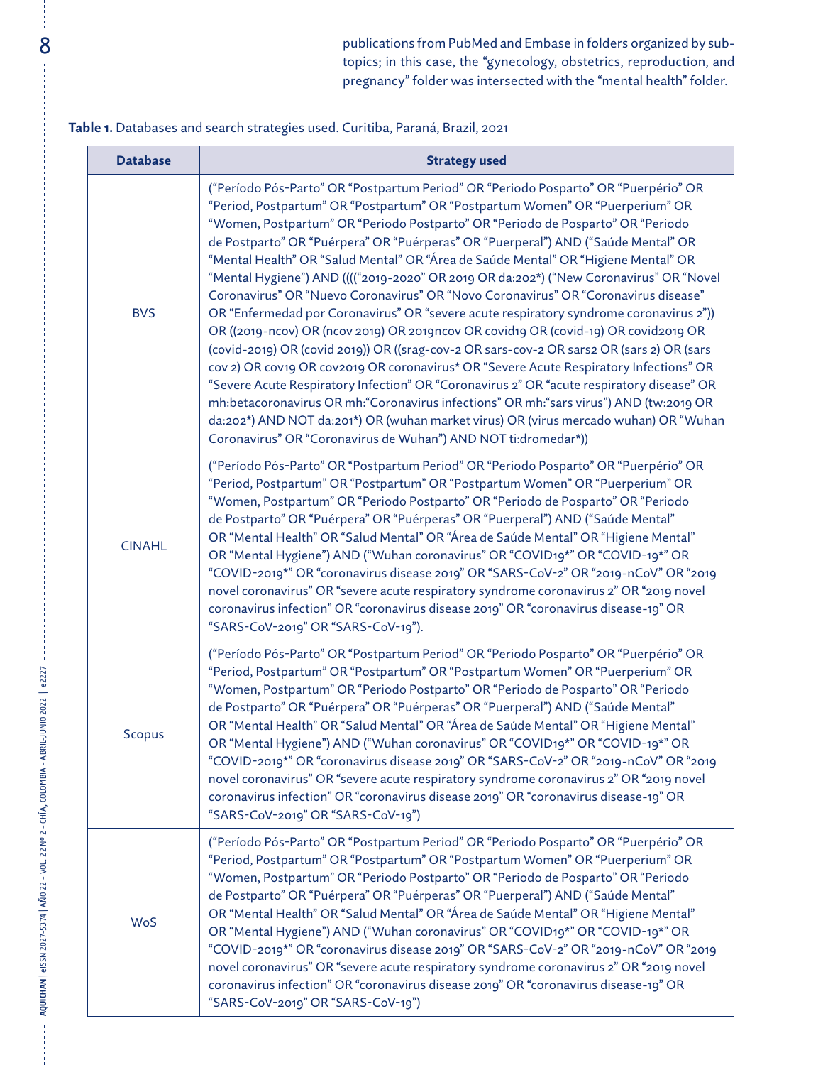8 publications from PubMed and Embase in folders organized by subtopics; in this case, the "gynecology, obstetrics, reproduction, and pregnancy" folder was intersected with the "mental health" folder.

### **Table 1.** Databases and search strategies used. Curitiba, Paraná, Brazil, 2021

| <b>Database</b> | <b>Strategy used</b>                                                                                                                                                                                                                                                                                                                                                                                                                                                                                                                                                                                                                                                                                                                                                                                                                                                                                                                                                                                                                                                                                                                                                                                                                                                                                                                         |
|-----------------|----------------------------------------------------------------------------------------------------------------------------------------------------------------------------------------------------------------------------------------------------------------------------------------------------------------------------------------------------------------------------------------------------------------------------------------------------------------------------------------------------------------------------------------------------------------------------------------------------------------------------------------------------------------------------------------------------------------------------------------------------------------------------------------------------------------------------------------------------------------------------------------------------------------------------------------------------------------------------------------------------------------------------------------------------------------------------------------------------------------------------------------------------------------------------------------------------------------------------------------------------------------------------------------------------------------------------------------------|
| <b>BVS</b>      | ("Período Pós-Parto" OR "Postpartum Period" OR "Periodo Posparto" OR "Puerpério" OR<br>"Period, Postpartum" OR "Postpartum" OR "Postpartum Women" OR "Puerperium" OR<br>"Women, Postpartum" OR "Periodo Postparto" OR "Periodo de Posparto" OR "Periodo<br>de Postparto" OR "Puérpera" OR "Puérperas" OR "Puerperal") AND ("Saúde Mental" OR<br>"Mental Health" OR "Salud Mental" OR "Área de Saúde Mental" OR "Higiene Mental" OR<br>"Mental Hygiene") AND (((("2019-2020" OR 2019 OR da:202*) ("New Coronavirus" OR "Novel<br>Coronavirus" OR "Nuevo Coronavirus" OR "Novo Coronavirus" OR "Coronavirus disease"<br>OR "Enfermedad por Coronavirus" OR "severe acute respiratory syndrome coronavirus 2"))<br>OR ((2019-ncov) OR (ncov 2019) OR 2019ncov OR covid19 OR (covid-19) OR covid2019 OR<br>(covid-2019) OR (covid 2019)) OR ((srag-cov-2 OR sars-cov-2 OR sars2 OR (sars 2) OR (sars<br>cov 2) OR cov19 OR cov2019 OR coronavirus* OR "Severe Acute Respiratory Infections" OR<br>"Severe Acute Respiratory Infection" OR "Coronavirus 2" OR "acute respiratory disease" OR<br>mh:betacoronavirus OR mh: "Coronavirus infections" OR mh: "sars virus") AND (tw:2019 OR<br>da:202*) AND NOT da:201*) OR (wuhan market virus) OR (virus mercado wuhan) OR "Wuhan<br>Coronavirus" OR "Coronavirus de Wuhan") AND NOT ti:dromedar*)) |
| <b>CINAHL</b>   | ("Período Pós-Parto" OR "Postpartum Period" OR "Periodo Posparto" OR "Puerpério" OR<br>"Period, Postpartum" OR "Postpartum" OR "Postpartum Women" OR "Puerperium" OR<br>"Women, Postpartum" OR "Periodo Postparto" OR "Periodo de Posparto" OR "Periodo<br>de Postparto" OR "Puérpera" OR "Puérperas" OR "Puerperal") AND ("Saúde Mental"<br>OR "Mental Health" OR "Salud Mental" OR "Área de Saúde Mental" OR "Higiene Mental"<br>OR "Mental Hygiene") AND ("Wuhan coronavirus" OR "COVID19*" OR "COVID-19*" OR<br>"COVID-2019*" OR "coronavirus disease 2019" OR "SARS-CoV-2" OR "2019-nCoV" OR "2019<br>novel coronavirus" OR "severe acute respiratory syndrome coronavirus 2" OR "2019 novel<br>coronavirus infection" OR "coronavirus disease 2019" OR "coronavirus disease-19" OR<br>"SARS-CoV-2019" OR "SARS-CoV-19").                                                                                                                                                                                                                                                                                                                                                                                                                                                                                                               |
| <b>Scopus</b>   | ("Período Pós-Parto" OR "Postpartum Period" OR "Periodo Posparto" OR "Puerpério" OR<br>"Period, Postpartum" OR "Postpartum" OR "Postpartum Women" OR "Puerperium" OR<br>"Women, Postpartum" OR "Periodo Postparto" OR "Periodo de Posparto" OR "Periodo<br>de Postparto" OR "Puérpera" OR "Puérperas" OR "Puerperal") AND ("Saúde Mental"<br>OR "Mental Health" OR "Salud Mental" OR "Área de Saúde Mental" OR "Higiene Mental"<br>OR "Mental Hygiene") AND ("Wuhan coronavirus" OR "COVID19*" OR "COVID-19*" OR<br>"COVID-2019*" OR "coronavirus disease 2019" OR "SARS-CoV-2" OR "2019-nCoV" OR "2019<br>novel coronavirus" OR "severe acute respiratory syndrome coronavirus 2" OR "2019 novel<br>coronavirus infection" OR "coronavirus disease 2019" OR "coronavirus disease-19" OR<br>"SARS-CoV-2019" OR "SARS-CoV-19")                                                                                                                                                                                                                                                                                                                                                                                                                                                                                                                |
| <b>WoS</b>      | ("Período Pós-Parto" OR "Postpartum Period" OR "Periodo Posparto" OR "Puerpério" OR<br>"Period, Postpartum" OR "Postpartum" OR "Postpartum Women" OR "Puerperium" OR<br>"Women, Postpartum" OR "Periodo Postparto" OR "Periodo de Posparto" OR "Periodo<br>de Postparto" OR "Puérpera" OR "Puérperas" OR "Puerperal") AND ("Saúde Mental"<br>OR "Mental Health" OR "Salud Mental" OR "Área de Saúde Mental" OR "Higiene Mental"<br>OR "Mental Hygiene") AND ("Wuhan coronavirus" OR "COVID19*" OR "COVID-19*" OR<br>"COVID-2019*" OR "coronavirus disease 2019" OR "SARS-CoV-2" OR "2019-nCoV" OR "2019<br>novel coronavirus" OR "severe acute respiratory syndrome coronavirus 2" OR "2019 novel<br>coronavirus infection" OR "coronavirus disease 2019" OR "coronavirus disease-19" OR<br>"SARS-CoV-2019" OR "SARS-CoV-19")                                                                                                                                                                                                                                                                                                                                                                                                                                                                                                                |

**AQUICHAN** | eISSN 2027-5374 | AÑO 22 - VOL. 22 Nº 2 - CHÍA, COLOMBIA - ABRIL-JUNIO 2022 | e2227

AQUICHAN | eISSN 2027-5374 | AÑO 22 - VOL. 22 Nº 2 - CHÍA, COLOMBIA - ABRIL-JUNIO 2022 | e2227

ł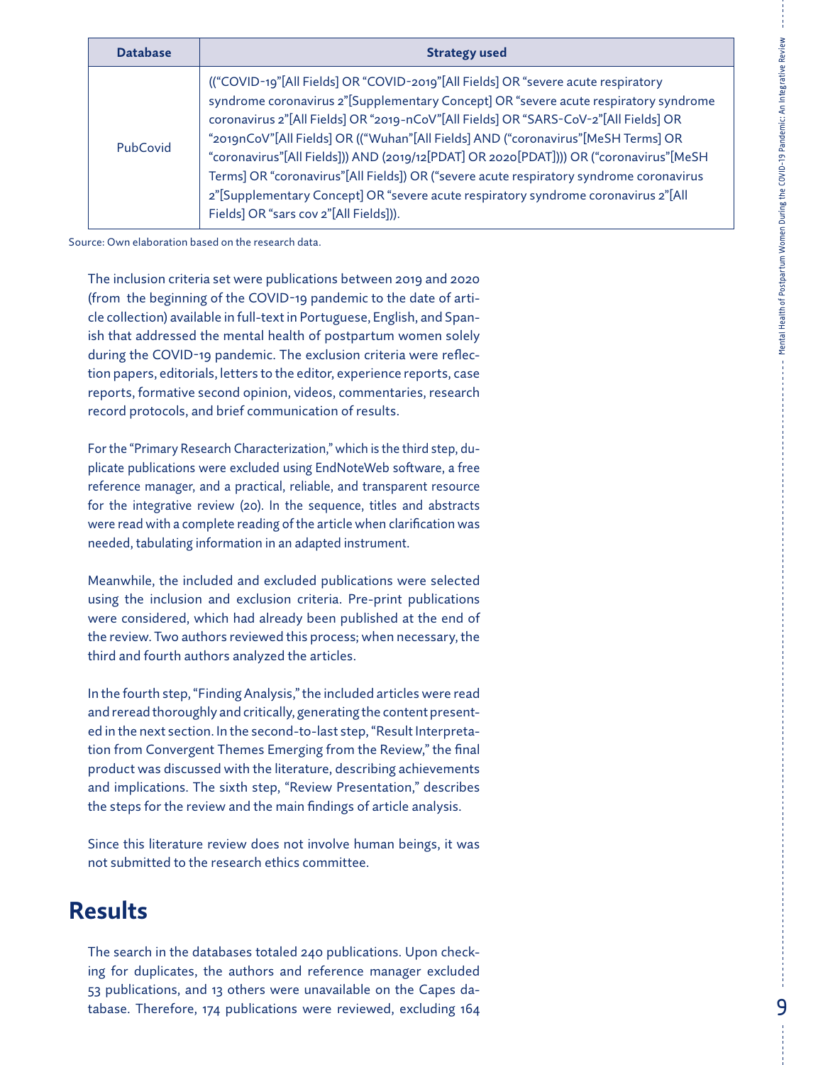| <b>Database</b> | <b>Strategy used</b>                                                                                                                                                                                                                                                                                                                                                                                                                                                                                                                                                                                                                                                        |
|-----------------|-----------------------------------------------------------------------------------------------------------------------------------------------------------------------------------------------------------------------------------------------------------------------------------------------------------------------------------------------------------------------------------------------------------------------------------------------------------------------------------------------------------------------------------------------------------------------------------------------------------------------------------------------------------------------------|
| PubCovid        | (("COVID-19"[All Fields] OR "COVID-2019"[All Fields] OR "severe acute respiratory<br>syndrome coronavirus 2"[Supplementary Concept] OR "severe acute respiratory syndrome<br>coronavirus 2"[All Fields] OR "2019-nCoV"[All Fields] OR "SARS-CoV-2"[All Fields] OR<br>"2019nCoV"[All Fields] OR (("Wuhan"[All Fields] AND ("coronavirus"[MeSH Terms] OR<br>"coronavirus"[All Fields])) AND (2019/12[PDAT] OR 2020[PDAT]))) OR ("coronavirus"[MeSH<br>Terms] OR "coronavirus"[All Fields]) OR ("severe acute respiratory syndrome coronavirus<br>2"[Supplementary Concept] OR "severe acute respiratory syndrome coronavirus 2"[All<br>Fields] OR "sars cov 2"[All Fields])). |

Source: Own elaboration based on the research data.

The inclusion criteria set were publications between 2019 and 2020 (from the beginning of the COVID-19 pandemic to the date of article collection) available in full-text in Portuguese, English, and Spanish that addressed the mental health of postpartum women solely during the COVID-19 pandemic. The exclusion criteria were reflection papers, editorials, letters to the editor, experience reports, case reports, formative second opinion, videos, commentaries, research record protocols, and brief communication of results.

For the "Primary Research Characterization," which is the third step, duplicate publications were excluded using EndNoteWeb software, a free reference manager, and a practical, reliable, and transparent resource for the integrative review (20). In the sequence, titles and abstracts were read with a complete reading of the article when clarification was needed, tabulating information in an adapted instrument.

Meanwhile, the included and excluded publications were selected using the inclusion and exclusion criteria. Pre-print publications were considered, which had already been published at the end of the review. Two authors reviewed this process; when necessary, the third and fourth authors analyzed the articles.

In the fourth step, "Finding Analysis," the included articles were read and reread thoroughly and critically, generating the content presented in the next section. In the second-to-last step, "Result Interpretation from Convergent Themes Emerging from the Review," the final product was discussed with the literature, describing achievements and implications. The sixth step, "Review Presentation," describes the steps for the review and the main findings of article analysis.

Since this literature review does not involve human beings, it was not submitted to the research ethics committee.

## **Results**

The search in the databases totaled 240 publications. Upon checking for duplicates, the authors and reference manager excluded 53 publications, and 13 others were unavailable on the Capes database. Therefore, 174 publications were reviewed, excluding 164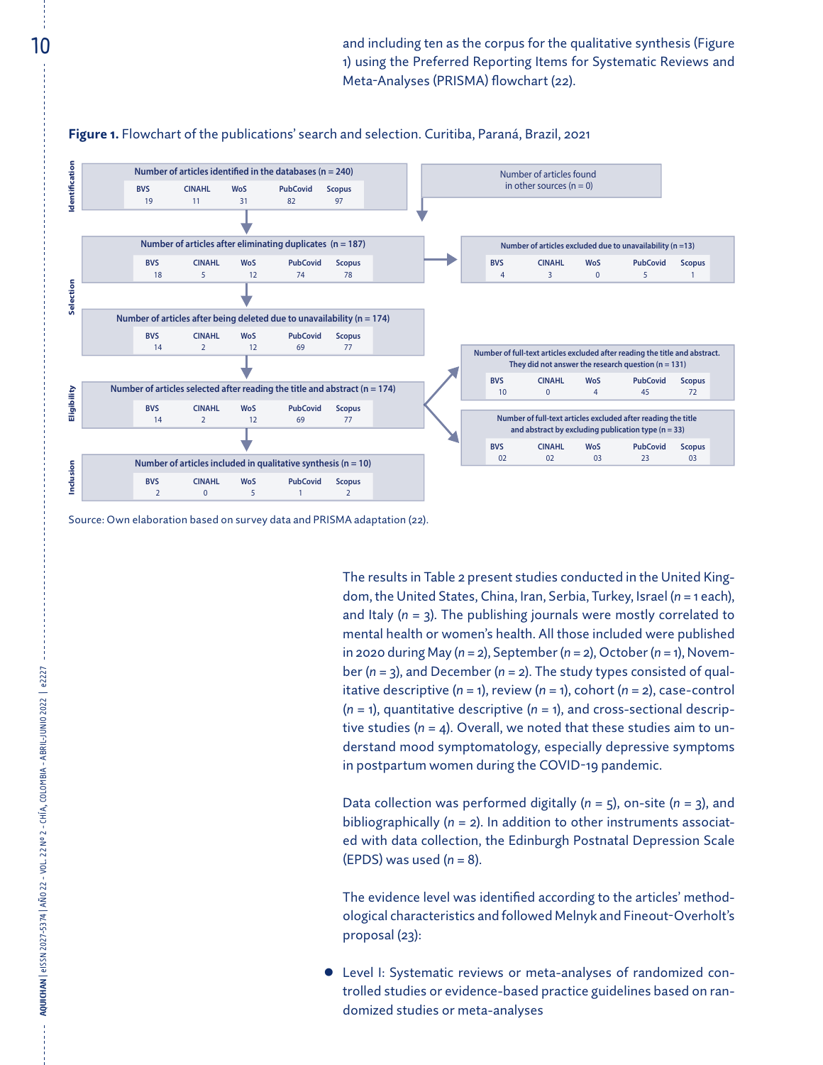

Source: Own elaboration based on survey data and PRISMA adaptation (22).

**AQUICHAN** | eISSN 2027-5374 | AÑO 22 - VOL. 22 Nº 2 - CHÍA, COLOMBIA - ABRIL-JUNIO 2022 | e2227

AQUICHAN | eISSN 2027-5374 | AÑO 22 - VOL. 22 Nº 2 - CHÍA, COLOMBIA - ABRIL-JUNIO 2022 | e2227

The results in Table 2 present studies conducted in the United Kingdom, the United States, China, Iran, Serbia, Turkey, Israel (*n* = 1 each), and Italy (*n* = 3). The publishing journals were mostly correlated to mental health or women's health. All those included were published in 2020 during May (*n* = 2), September (*n* = 2), October (*n* = 1), November (*n* = 3), and December (*n* = 2). The study types consisted of qualitative descriptive (*n* = 1), review (*n* = 1), cohort (*n* = 2), case-control (*n* = 1), quantitative descriptive (*n* = 1), and cross-sectional descriptive studies (*n* = 4). Overall, we noted that these studies aim to understand mood symptomatology, especially depressive symptoms in postpartum women during the COVID-19 pandemic.

Data collection was performed digitally (*n* = 5), on-site (*n* = 3), and bibliographically (*n* = 2). In addition to other instruments associated with data collection, the Edinburgh Postnatal Depression Scale (EPDS) was used (*n* = 8).

The evidence level was identified according to the articles' methodological characteristics and followed Melnyk and Fineout-Overholt's proposal (23):

Level I: Systematic reviews or meta-analyses of randomized controlled studies or evidence-based practice guidelines based on randomized studies or meta-analyses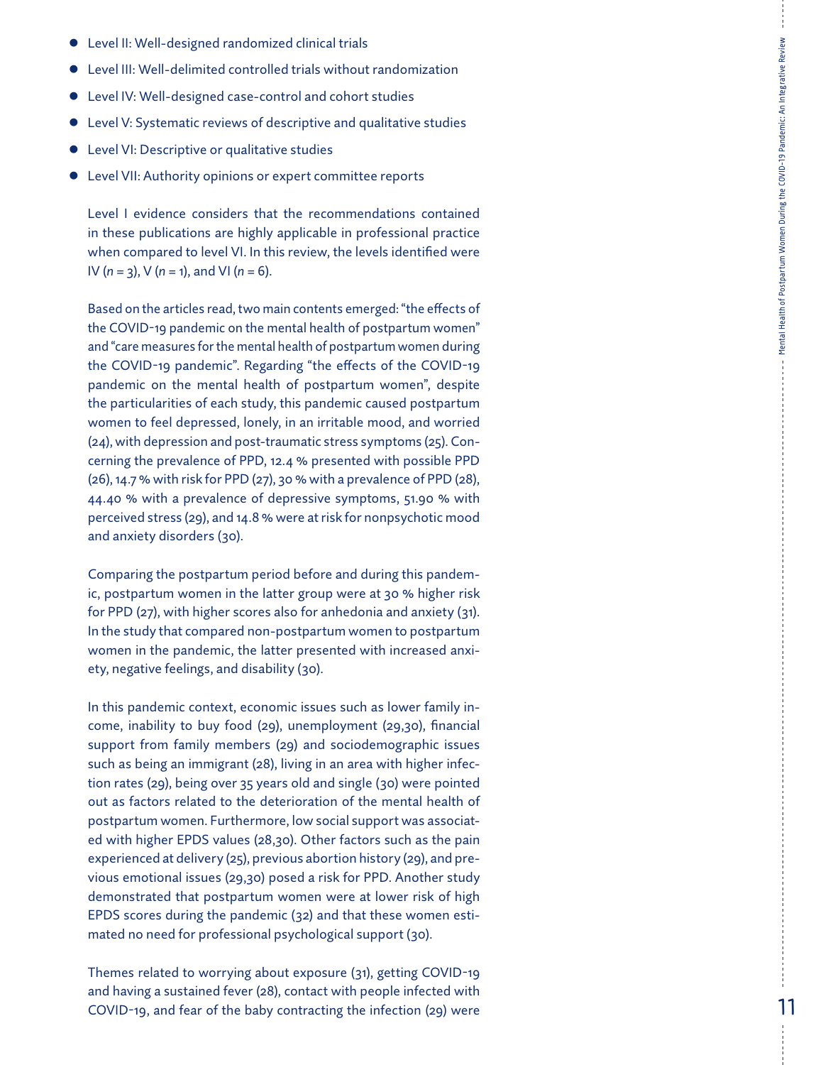- **•** Level II: Well-designed randomized clinical trials
- $\bullet$  Level III: Well-delimited controlled trials without randomization
- **•** Level IV: Well-designed case-control and cohort studies
- **•** Level V: Systematic reviews of descriptive and qualitative studies
- **•** Level VI: Descriptive or qualitative studies
- **•** Level VII: Authority opinions or expert committee reports

Level I evidence considers that the recommendations contained in these publications are highly applicable in professional practice when compared to level VI. In this review, the levels identified were IV ( *n* = 3), V ( *n* = 1), and VI ( *n* = 6).

Based on the articles read, two main contents emerged: "the effects of the COVID-19 pandemic on the mental health of postpartum women" and "care measures for the mental health of postpartum women during the COVID-19 pandemic". Regarding "the effects of the COVID-19 pandemic on the mental health of postpartum women", despite the particularities of each study, this pandemic caused postpartum women to feel depressed, lonely, in an irritable mood, and worried (24), with depression and post-traumatic stress symptoms (25). Con cerning the prevalence of PPD, 12.4 % presented with possible PPD (26), 14.7 % with risk for PPD (27), 30 % with a prevalence of PPD (28), 44.40 % with a prevalence of depressive symptoms, 51.90 % with perceived stress (29), and 14.8 % were at risk for nonpsychotic mood and anxiety disorders (30).

Comparing the postpartum period before and during this pandem ic, postpartum women in the latter group were at 30 % higher risk for PPD (27), with higher scores also for anhedonia and anxiety (31). In the study that compared non-postpartum women to postpartum women in the pandemic, the latter presented with increased anxi ety, negative feelings, and disability (30).

In this pandemic context, economic issues such as lower family in come, inability to buy food (29), unemployment (29,30), financial support from family members (29) and sociodemographic issues such as being an immigrant (28), living in an area with higher infec tion rates (29), being over 35 years old and single (30) were pointed out as factors related to the deterioration of the mental health of postpartum women. Furthermore, low social support was associat ed with higher EPDS values (28,30). Other factors such as the pain experienced at delivery (25), previous abortion history (29), and pre vious emotional issues (29,30) posed a risk for PPD. Another study demonstrated that postpartum women were at lower risk of high EPDS scores during the pandemic (32) and that these women esti mated no need for professional psychological support (30).

Themes related to worrying about exposure (31), getting COVID-19 and having a sustained fever (28), contact with people infected with COVID-19, and fear of the baby contracting the infection (29) were Mental Health of Postpartum Women During the COVID-19 Pandemic: An Integrative Review

Mental Health of Postpartum Women During the COVID-19 Pandemic: An Integrative Review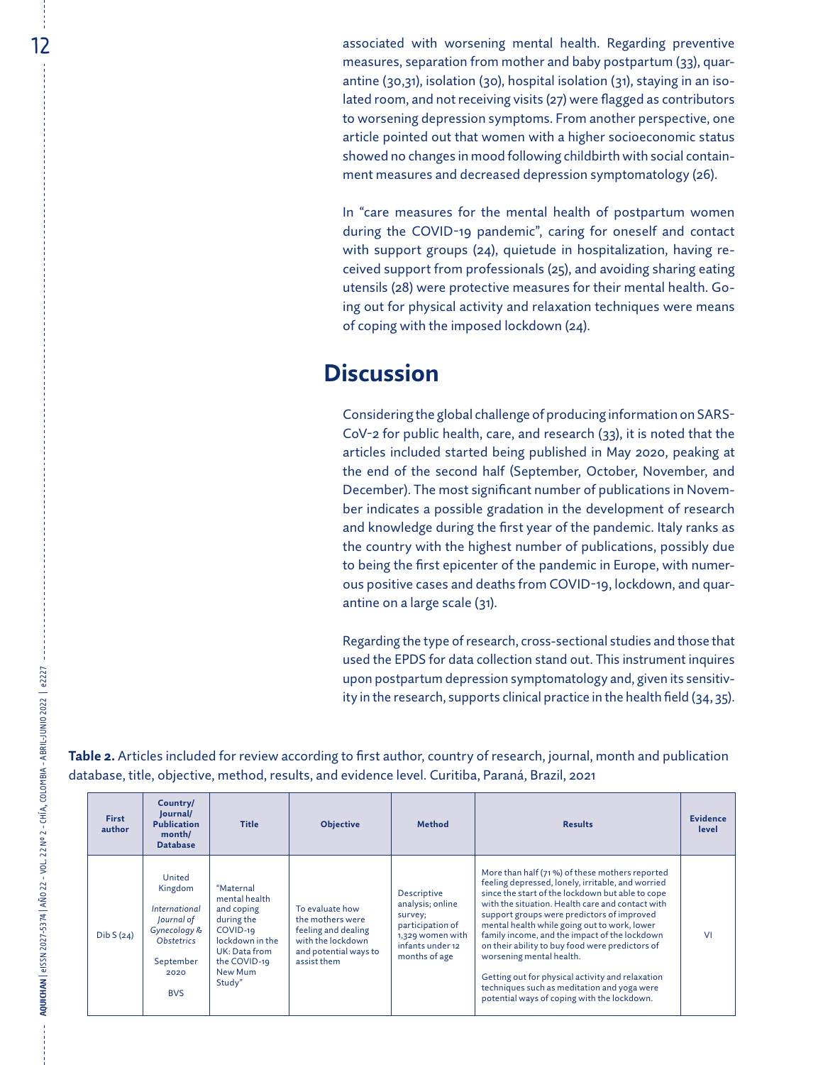12 associated with worsening mental health. Regarding preventive measures, separation from mother and baby postpartum (33), quarantine (30,31), isolation (30), hospital isolation (31), staying in an isolated room, and not receiving visits (27) were flagged as contributors to worsening depression symptoms. From another perspective, one article pointed out that women with a higher socioeconomic status showed no changes in mood following childbirth with social containment measures and decreased depression symptomatology (26).

> In "care measures for the mental health of postpartum women during the COVID-19 pandemic", caring for oneself and contact with support groups (24), quietude in hospitalization, having received support from professionals (25), and avoiding sharing eating utensils (28) were protective measures for their mental health. Going out for physical activity and relaxation techniques were means of coping with the imposed lockdown (24).

## **Discussion**

Considering the global challenge of producing information on SARS-CoV-2 for public health, care, and research (33), it is noted that the articles included started being published in May 2020, peaking at the end of the second half (September, October, November, and December). The most significant number of publications in November indicates a possible gradation in the development of research and knowledge during the first year of the pandemic. Italy ranks as the country with the highest number of publications, possibly due to being the first epicenter of the pandemic in Europe, with numerous positive cases and deaths from COVID-19, lockdown, and quarantine on a large scale (31).

Regarding the type of research, cross-sectional studies and those that used the EPDS for data collection stand out. This instrument inquires upon postpartum depression symptomatology and, given its sensitivity in the research, supports clinical practice in the health field (34, 35).

| <b>First</b><br>author | Country/<br>Journal/<br><b>Publication</b><br>month/<br><b>Database</b>                                                                       | <b>Title</b>                                                                                                                                | <b>Objective</b>                                                                                                        | <b>Method</b>                                                                                                           | <b>Results</b>                                                                                                                                                                                                                                                                                                                                                                                                                                                                                                                                                                              | <b>Evidence</b><br>level |
|------------------------|-----------------------------------------------------------------------------------------------------------------------------------------------|---------------------------------------------------------------------------------------------------------------------------------------------|-------------------------------------------------------------------------------------------------------------------------|-------------------------------------------------------------------------------------------------------------------------|---------------------------------------------------------------------------------------------------------------------------------------------------------------------------------------------------------------------------------------------------------------------------------------------------------------------------------------------------------------------------------------------------------------------------------------------------------------------------------------------------------------------------------------------------------------------------------------------|--------------------------|
| DibS(24)               | United<br>Kingdom<br><i><u><b>International</b></u></i><br>Journal of<br>Gynecology &<br><b>Obstetrics</b><br>September<br>2020<br><b>BVS</b> | "Maternal<br>mental health<br>and coping<br>during the<br>COVID-19<br>lockdown in the<br>UK: Data from<br>the COVID-19<br>New Mum<br>Study" | To evaluate how<br>the mothers were<br>feeling and dealing<br>with the lockdown<br>and potential ways to<br>assist them | Descriptive<br>analysis; online<br>survey;<br>participation of<br>1,329 women with<br>infants under 12<br>months of age | More than half (71%) of these mothers reported<br>feeling depressed, lonely, irritable, and worried<br>since the start of the lockdown but able to cope<br>with the situation. Health care and contact with<br>support groups were predictors of improved<br>mental health while going out to work, lower<br>family income, and the impact of the lockdown<br>on their ability to buy food were predictors of<br>worsening mental health.<br>Getting out for physical activity and relaxation<br>techniques such as meditation and yoga were<br>potential ways of coping with the lockdown. | VI                       |

**Table 2.** Articles included for review according to first author, country of research, journal, month and publication database, title, objective, method, results, and evidence level. Curitiba, Paraná, Brazil, 2021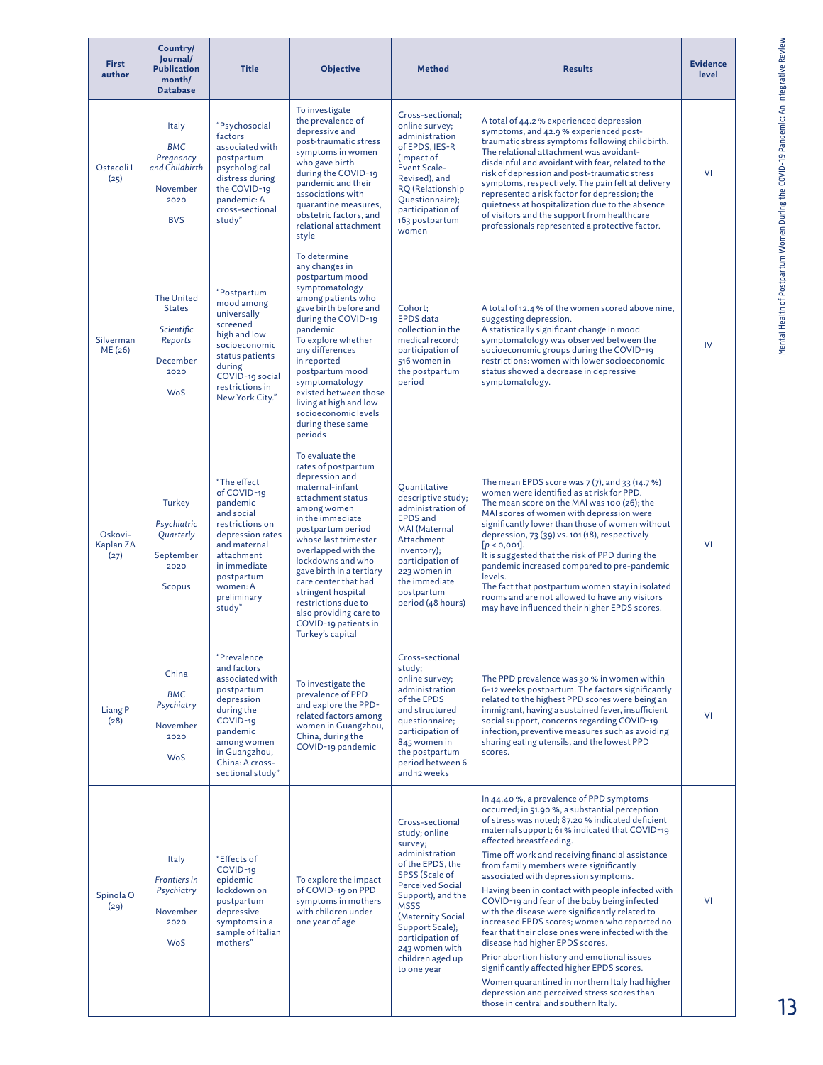| <b>First</b><br>author       | Country/<br>Journal/<br><b>Publication</b><br>month/<br><b>Database</b>                | <b>Title</b>                                                                                                                                                                                 | <b>Objective</b>                                                                                                                                                                                                                                                                                                                                                                                    | <b>Method</b>                                                                                                                                                                                                                                                                       | <b>Results</b>                                                                                                                                                                                                                                                                                                                                                                                                                                                                                                                                                                                                                                                                                                                                                                                                                                                                                     | <b>Evidence</b><br>level |
|------------------------------|----------------------------------------------------------------------------------------|----------------------------------------------------------------------------------------------------------------------------------------------------------------------------------------------|-----------------------------------------------------------------------------------------------------------------------------------------------------------------------------------------------------------------------------------------------------------------------------------------------------------------------------------------------------------------------------------------------------|-------------------------------------------------------------------------------------------------------------------------------------------------------------------------------------------------------------------------------------------------------------------------------------|----------------------------------------------------------------------------------------------------------------------------------------------------------------------------------------------------------------------------------------------------------------------------------------------------------------------------------------------------------------------------------------------------------------------------------------------------------------------------------------------------------------------------------------------------------------------------------------------------------------------------------------------------------------------------------------------------------------------------------------------------------------------------------------------------------------------------------------------------------------------------------------------------|--------------------------|
| Ostacoli L<br>(25)           | Italy<br><b>BMC</b><br>Pregnancy<br>and Childbirth<br>November<br>2020<br><b>BVS</b>   | "Psychosocial<br>factors<br>associated with<br>postpartum<br>psychological<br>distress during<br>the COVID-19<br>pandemic: A<br>cross-sectional<br>study"                                    | To investigate<br>the prevalence of<br>depressive and<br>post-traumatic stress<br>symptoms in women<br>who gave birth<br>during the COVID-19<br>pandemic and their<br>associations with<br>quarantine measures,<br>obstetric factors, and<br>relational attachment<br>style                                                                                                                         | Cross-sectional:<br>online survey;<br>administration<br>of EPDS, IES-R<br>(Impact of<br><b>Event Scale-</b><br>Revised), and<br>RQ (Relationship<br>Questionnaire);<br>participation of<br>163 postpartum<br>women                                                                  | A total of 44.2 % experienced depression<br>symptoms, and 42.9 % experienced post-<br>traumatic stress symptoms following childbirth.<br>The relational attachment was avoidant-<br>disdainful and avoidant with fear, related to the<br>risk of depression and post-traumatic stress<br>symptoms, respectively. The pain felt at delivery<br>represented a risk factor for depression; the<br>quietness at hospitalization due to the absence<br>of visitors and the support from healthcare<br>professionals represented a protective factor.                                                                                                                                                                                                                                                                                                                                                    | VI                       |
| Silverman<br>ME (26)         | <b>The United</b><br><b>States</b><br>Scientific<br>Reports<br>December<br>2020<br>WoS | "Postpartum<br>mood among<br>universally<br>screened<br>high and low<br>socioeconomic<br>status patients<br>during<br>COVID-19 social<br>restrictions in<br>New York City."                  | To determine<br>any changes in<br>postpartum mood<br>symptomatology<br>among patients who<br>gave birth before and<br>during the COVID-19<br>pandemic<br>To explore whether<br>any differences<br>in reported<br>postpartum mood<br>symptomatology<br>existed between those<br>living at high and low<br>socioeconomic levels<br>during these same<br>periods                                       | Cohort;<br><b>EPDS</b> data<br>collection in the<br>medical record;<br>participation of<br>516 women in<br>the postpartum<br>period                                                                                                                                                 | A total of 12.4 % of the women scored above nine,<br>suggesting depression.<br>A statistically significant change in mood<br>symptomatology was observed between the<br>socioeconomic groups during the COVID-19<br>restrictions: women with lower socioeconomic<br>status showed a decrease in depressive<br>symptomatology.                                                                                                                                                                                                                                                                                                                                                                                                                                                                                                                                                                      | IV.                      |
| Oskovi-<br>Kaplan ZA<br>(27) | Turkey<br>Psychiatric<br>Quarterly<br>September<br>2020<br><b>Scopus</b>               | "The effect<br>of COVID-19<br>pandemic<br>and social<br>restrictions on<br>depression rates<br>and maternal<br>attachment<br>in immediate<br>postpartum<br>women: A<br>preliminary<br>study" | To evaluate the<br>rates of postpartum<br>depression and<br>maternal-infant<br>attachment status<br>among women<br>in the immediate<br>postpartum period<br>whose last trimester<br>overlapped with the<br>lockdowns and who<br>gave birth in a tertiary<br>care center that had<br>stringent hospital<br>restrictions due to<br>also providing care to<br>COVID-19 patients in<br>Turkey's capital | Quantitative<br>descriptive study;<br>administration of<br><b>EPDS</b> and<br>MAI (Maternal<br>Attachment<br>Inventory);<br>participation of<br>223 women in<br>the immediate<br>postpartum<br>period (48 hours)                                                                    | The mean EPDS score was $7(7)$ , and $33(14.7%)$<br>women were identified as at risk for PPD.<br>The mean score on the MAI was 100 (26); the<br>MAI scores of women with depression were<br>significantly lower than those of women without<br>depression, 73 (39) vs. 101 (18), respectively<br>[p < 0, 001].<br>It is suggested that the risk of PPD during the<br>pandemic increased compared to pre-pandemic<br>levels.<br>The fact that postpartum women stay in isolated<br>rooms and are not allowed to have any visitors<br>may have influenced their higher EPDS scores.                                                                                                                                                                                                                                                                                                                  | VI                       |
| Liang <sub>P</sub><br>(28)   | China<br><b>BMC</b><br>Psychiatry<br>November<br>2020<br>WoS                           | "Prevalence<br>and factors<br>associated with<br>postpartum<br>depression<br>during the<br>COVID-19<br>pandemic<br>among women<br>in Guangzhou,<br>China: A cross-<br>sectional study"       | To investigate the<br>prevalence of PPD<br>and explore the PPD-<br>related factors among<br>women in Guangzhou,<br>China, during the<br>COVID-19 pandemic                                                                                                                                                                                                                                           | Cross-sectional<br>study;<br>online survey;<br>administration<br>of the EPDS<br>and structured<br>questionnaire;<br>participation of<br>845 women in<br>the postpartum<br>period between 6<br>and 12 weeks                                                                          | The PPD prevalence was 30 % in women within<br>6-12 weeks postpartum. The factors significantly<br>related to the highest PPD scores were being an<br>immigrant, having a sustained fever, insufficient<br>social support, concerns regarding COVID-19<br>infection, preventive measures such as avoiding<br>sharing eating utensils, and the lowest PPD<br>scores.                                                                                                                                                                                                                                                                                                                                                                                                                                                                                                                                | VI                       |
| Spinola <sub>O</sub><br>(29) | Italy<br><b>Frontiers in</b><br>Psychiatry<br>November<br>2020<br><b>WoS</b>           | "Effects of<br>COVID-19<br>epidemic<br>lockdown on<br>postpartum<br>depressive<br>symptoms in a<br>sample of Italian<br>mothers"                                                             | To explore the impact<br>of COVID-19 on PPD<br>symptoms in mothers<br>with children under<br>one year of age                                                                                                                                                                                                                                                                                        | Cross-sectional<br>study; online<br>survey;<br>administration<br>of the EPDS, the<br>SPSS (Scale of<br><b>Perceived Social</b><br>Support), and the<br><b>MSSS</b><br>(Maternity Social<br>Support Scale);<br>participation of<br>243 women with<br>children aged up<br>to one year | In 44.40%, a prevalence of PPD symptoms<br>occurred; in 51.90%, a substantial perception<br>of stress was noted; 87.20 % indicated deficient<br>maternal support; 61% indicated that COVID-19<br>affected breastfeeding.<br>Time off work and receiving financial assistance<br>from family members were significantly<br>associated with depression symptoms.<br>Having been in contact with people infected with<br>COVID-19 and fear of the baby being infected<br>with the disease were significantly related to<br>increased EPDS scores; women who reported no<br>fear that their close ones were infected with the<br>disease had higher EPDS scores.<br>Prior abortion history and emotional issues<br>significantly affected higher EPDS scores.<br>Women quarantined in northern Italy had higher<br>depression and perceived stress scores than<br>those in central and southern Italy. | VI                       |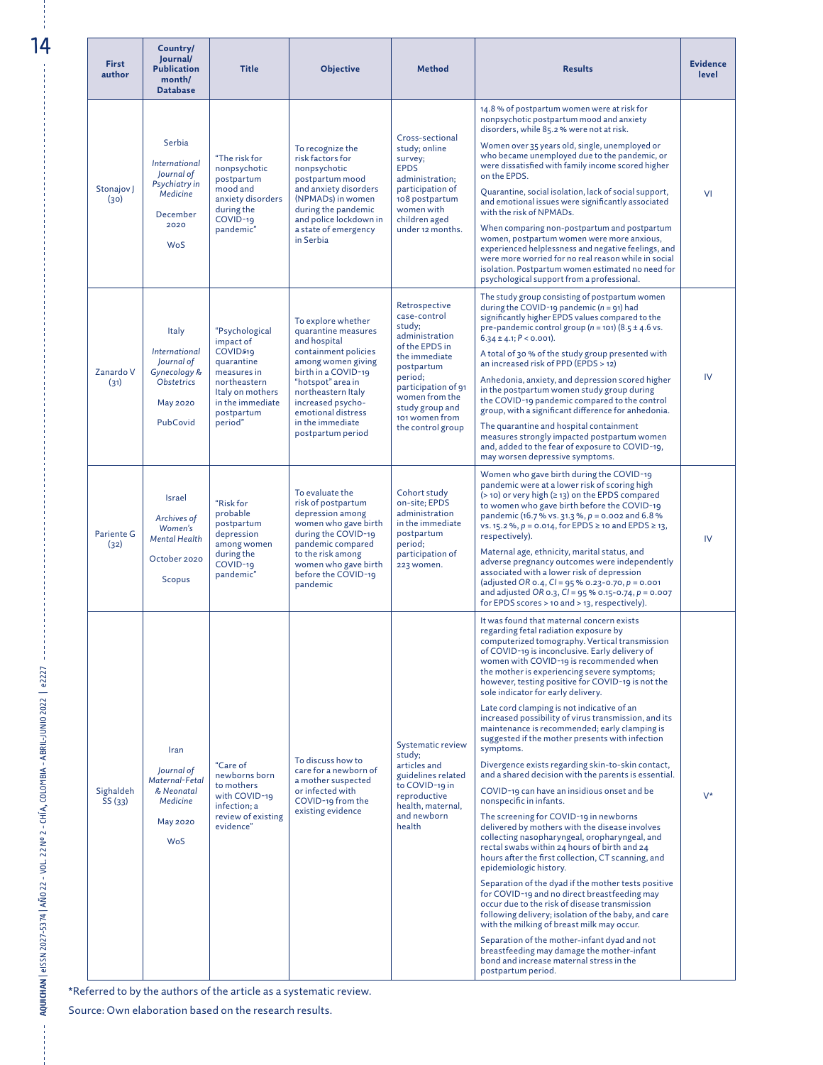| <b>First</b><br>author | Country/<br>Journal/<br><b>Publication</b><br>month/<br><b>Database</b>                          | <b>Title</b>                                                                                                                                                     | <b>Objective</b>                                                                                                                                                                                                                                              | <b>Method</b>                                                                                                                                                                                                            | <b>Results</b>                                                                                                                                                                                                                                                                                                                                                                                                                                                                                                                                                                                                                                                                                                                                                                                                                                                                                                                                                                                                                                                                                                                                                                                                                                                                                                                                                                                                                                                                                      | <b>Evidence</b><br>level |
|------------------------|--------------------------------------------------------------------------------------------------|------------------------------------------------------------------------------------------------------------------------------------------------------------------|---------------------------------------------------------------------------------------------------------------------------------------------------------------------------------------------------------------------------------------------------------------|--------------------------------------------------------------------------------------------------------------------------------------------------------------------------------------------------------------------------|-----------------------------------------------------------------------------------------------------------------------------------------------------------------------------------------------------------------------------------------------------------------------------------------------------------------------------------------------------------------------------------------------------------------------------------------------------------------------------------------------------------------------------------------------------------------------------------------------------------------------------------------------------------------------------------------------------------------------------------------------------------------------------------------------------------------------------------------------------------------------------------------------------------------------------------------------------------------------------------------------------------------------------------------------------------------------------------------------------------------------------------------------------------------------------------------------------------------------------------------------------------------------------------------------------------------------------------------------------------------------------------------------------------------------------------------------------------------------------------------------------|--------------------------|
| Stonajov J<br>(30)     | Serbia<br>International<br>Journal of<br>Psychiatry in<br>Medicine<br>December<br>2020<br>WoS    | "The risk for<br>nonpsychotic<br>postpartum<br>mood and<br>anxiety disorders<br>during the<br>COVID-19<br>pandemic"                                              | To recognize the<br>risk factors for<br>nonpsychotic<br>postpartum mood<br>and anxiety disorders<br>(NPMADs) in women<br>during the pandemic<br>and police lockdown in<br>a state of emergency<br>in Serbia                                                   | Cross-sectional<br>study; online<br>survey;<br><b>EPDS</b><br>administration;<br>participation of<br>108 postpartum<br>women with<br>children aged<br>under 12 months.                                                   | 14.8 % of postpartum women were at risk for<br>nonpsychotic postpartum mood and anxiety<br>disorders, while 85.2 % were not at risk.<br>Women over 35 years old, single, unemployed or<br>who became unemployed due to the pandemic, or<br>were dissatisfied with family income scored higher<br>on the EPDS.<br>Quarantine, social isolation, lack of social support,<br>and emotional issues were significantly associated<br>with the risk of NPMADs.<br>When comparing non-postpartum and postpartum<br>women, postpartum women were more anxious,<br>experienced helplessness and negative feelings, and<br>were more worried for no real reason while in social<br>isolation. Postpartum women estimated no need for<br>psychological support from a professional.                                                                                                                                                                                                                                                                                                                                                                                                                                                                                                                                                                                                                                                                                                                            | VI                       |
| Zanardo V<br>(31)      | Italy<br>International<br>Journal of<br>Gynecology &<br>Obstetrics<br>May 2020<br>PubCovid       | "Psychological<br>impact of<br>COVID <sub>19</sub><br>quarantine<br>measures in<br>northeastern<br>Italy on mothers<br>in the immediate<br>postpartum<br>period" | To explore whether<br>quarantine measures<br>and hospital<br>containment policies<br>among women giving<br>birth in a COVID-19<br>"hotspot" area in<br>northeastern Italy<br>increased psycho-<br>emotional distress<br>in the immediate<br>postpartum period | Retrospective<br>case-control<br>study;<br>administration<br>of the EPDS in<br>the immediate<br>postpartum<br>period;<br>participation of 91<br>women from the<br>study group and<br>101 women from<br>the control group | The study group consisting of postpartum women<br>during the COVID-19 pandemic ( $n = 91$ ) had<br>significantly higher EPDS values compared to the<br>pre-pandemic control group ( $n = 101$ ) (8.5 ± 4.6 vs.<br>$6.34 \pm 4.1$ ; $P < 0.001$ ).<br>A total of 30 % of the study group presented with<br>an increased risk of PPD (EPDS > 12)<br>Anhedonia, anxiety, and depression scored higher<br>in the postpartum women study group during<br>the COVID-19 pandemic compared to the control<br>group, with a significant difference for anhedonia.<br>The quarantine and hospital containment<br>measures strongly impacted postpartum women<br>and, added to the fear of exposure to COVID-19,<br>may worsen depressive symptoms.                                                                                                                                                                                                                                                                                                                                                                                                                                                                                                                                                                                                                                                                                                                                                            | IV                       |
| Pariente G<br>(32)     | <b>Israel</b><br>Archives of<br>Women's<br><b>Mental Health</b><br>October 2020<br><b>Scopus</b> | "Risk for<br>probable<br>postpartum<br>depression<br>among women<br>during the<br>COVID-19<br>pandemic"                                                          | To evaluate the<br>risk of postpartum<br>depression among<br>women who gave birth<br>during the COVID-19<br>pandemic compared<br>to the risk among<br>women who gave birth<br>before the COVID-19<br>pandemic                                                 | Cohort study<br>on-site; EPDS<br>administration<br>in the immediate<br>postpartum<br>period;<br>participation of<br>223 women.                                                                                           | Women who gave birth during the COVID-19<br>pandemic were at a lower risk of scoring high<br>$(> 10)$ or very high ( $\geq 13$ ) on the EPDS compared<br>to women who gave birth before the COVID-19<br>pandemic (16.7 % vs. 31.3 %, $p = 0.002$ and 6.8 %<br>vs. 15.2 %, $p = 0.014$ , for EPDS ≥ 10 and EPDS ≥ 13,<br>respectively).<br>Maternal age, ethnicity, marital status, and<br>adverse pregnancy outcomes were independently<br>associated with a lower risk of depression<br>(adjusted OR 0.4, $CI = 95% 0.23 - 0.70$ , $p = 0.001$<br>and adjusted OR 0.3, $CI = 95% 0.15 - 0.74$ , $p = 0.007$<br>for EPDS scores $>$ 10 and $>$ 13, respectively).                                                                                                                                                                                                                                                                                                                                                                                                                                                                                                                                                                                                                                                                                                                                                                                                                                   | IV                       |
| Sighaldeh<br>SS(33)    | Iran<br>Journal of<br>Maternal-Fetal<br>& Neonatal<br>Medicine<br><b>May 2020</b><br>WoS         | "Care of<br>newborns born<br>to mothers<br>with COVID-19<br>infection; a<br>review of existing<br>evidence"                                                      | To discuss how to<br>care for a newborn of<br>a mother suspected<br>or infected with<br>COVID-19 from the<br>existing evidence                                                                                                                                | Systematic review<br>study;<br>articles and<br>guidelines related<br>to COVID-19 in<br>reproductive<br>health, maternal,<br>and newborn<br>health                                                                        | It was found that maternal concern exists<br>regarding fetal radiation exposure by<br>computerized tomography. Vertical transmission<br>of COVID-19 is inconclusive. Early delivery of<br>women with COVID-19 is recommended when<br>the mother is experiencing severe symptoms;<br>however, testing positive for COVID-19 is not the<br>sole indicator for early delivery.<br>Late cord clamping is not indicative of an<br>increased possibility of virus transmission, and its<br>maintenance is recommended; early clamping is<br>suggested if the mother presents with infection<br>symptoms.<br>Divergence exists regarding skin-to-skin contact,<br>and a shared decision with the parents is essential.<br>COVID-19 can have an insidious onset and be<br>nonspecific in infants.<br>The screening for COVID-19 in newborns<br>delivered by mothers with the disease involves<br>collecting nasopharyngeal, oropharyngeal, and<br>rectal swabs within 24 hours of birth and 24<br>hours after the first collection, CT scanning, and<br>epidemiologic history.<br>Separation of the dyad if the mother tests positive<br>for COVID-19 and no direct breastfeeding may<br>occur due to the risk of disease transmission<br>following delivery; isolation of the baby, and care<br>with the milking of breast milk may occur.<br>Separation of the mother-infant dyad and not<br>breastfeeding may damage the mother-infant<br>bond and increase maternal stress in the<br>postpartum period. | $V^*$                    |

\*Referred to by the authors of the article as a systematic review.

Source: Own elaboration based on the research results.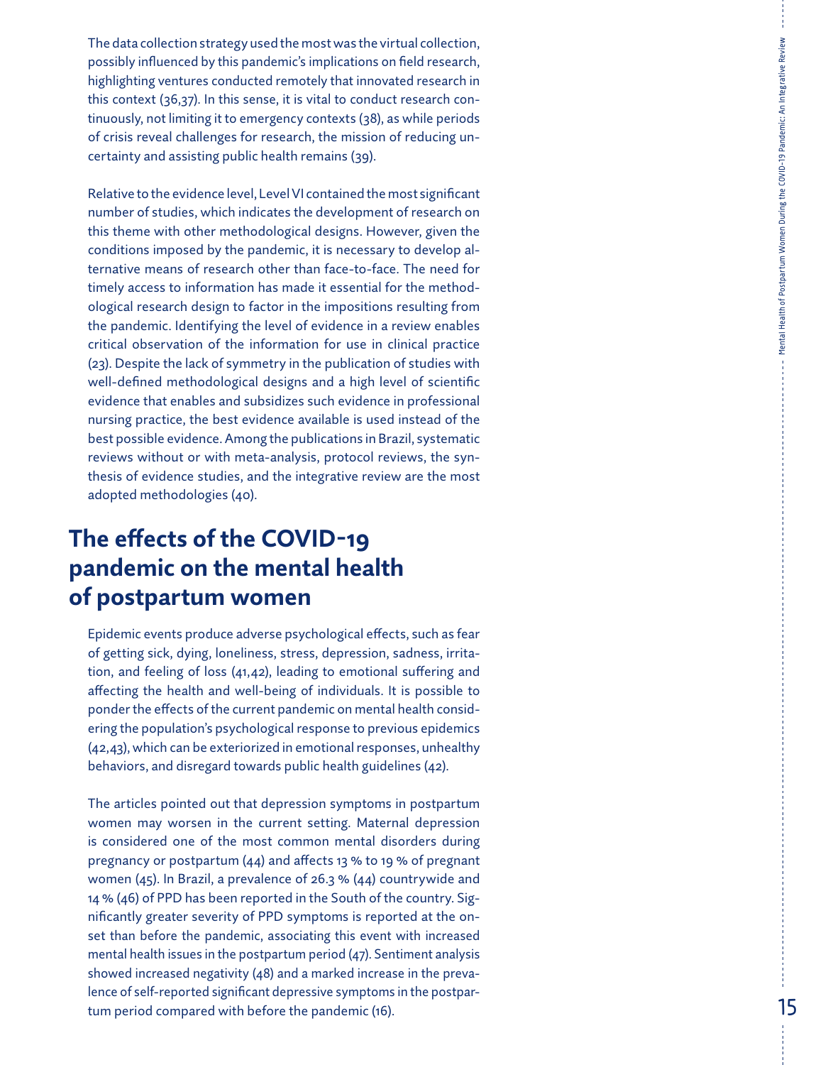The data collection strategy used the most was the virtual collection, possibly influenced by this pandemic's implications on field research, highlighting ventures conducted remotely that innovated research in this context (36,37). In this sense, it is vital to conduct research con tinuously, not limiting it to emergency contexts (38), as while periods of crisis reveal challenges for research, the mission of reducing un certainty and assisting public health remains (39).

Relative to the evidence level, Level VI contained the most significant number of studies, which indicates the development of research on this theme with other methodological designs. However, given the conditions imposed by the pandemic, it is necessary to develop al ternative means of research other than face-to-face. The need for timely access to information has made it essential for the method ological research design to factor in the impositions resulting from the pandemic. Identifying the level of evidence in a review enables critical observation of the information for use in clinical practice (23). Despite the lack of symmetry in the publication of studies with well-defined methodological designs and a high level of scientific evidence that enables and subsidizes such evidence in professional nursing practice, the best evidence available is used instead of the best possible evidence. Among the publications in Brazil, systematic reviews without or with meta-analysis, protocol reviews, the syn thesis of evidence studies, and the integrative review are the most adopted methodologies (40).

## **The effects of the COVID-19 pandemic on the mental health of postpartum women**

Epidemic events produce adverse psychological effects, such as fear of getting sick, dying, loneliness, stress, depression, sadness, irrita tion, and feeling of loss (41,42), leading to emotional suffering and affecting the health and well-being of individuals. It is possible to ponder the effects of the current pandemic on mental health consid ering the population's psychological response to previous epidemics (42,43), which can be exteriorized in emotional responses, unhealthy behaviors, and disregard towards public health guidelines (42).

The articles pointed out that depression symptoms in postpartum women may worsen in the current setting. Maternal depression is considered one of the most common mental disorders during pregnancy or postpartum (44) and affects 13 % to 19 % of pregnant women (45). In Brazil, a prevalence of 26.3 % (44) countrywide and 14 % (46) of PPD has been reported in the South of the country. Sig nificantly greater severity of PPD symptoms is reported at the on set than before the pandemic, associating this event with increased mental health issues in the postpartum period (47). Sentiment analysis showed increased negativity (48) and a marked increase in the preva lence of self-reported significant depressive symptoms in the postpar tum period compared with before the pandemic (16).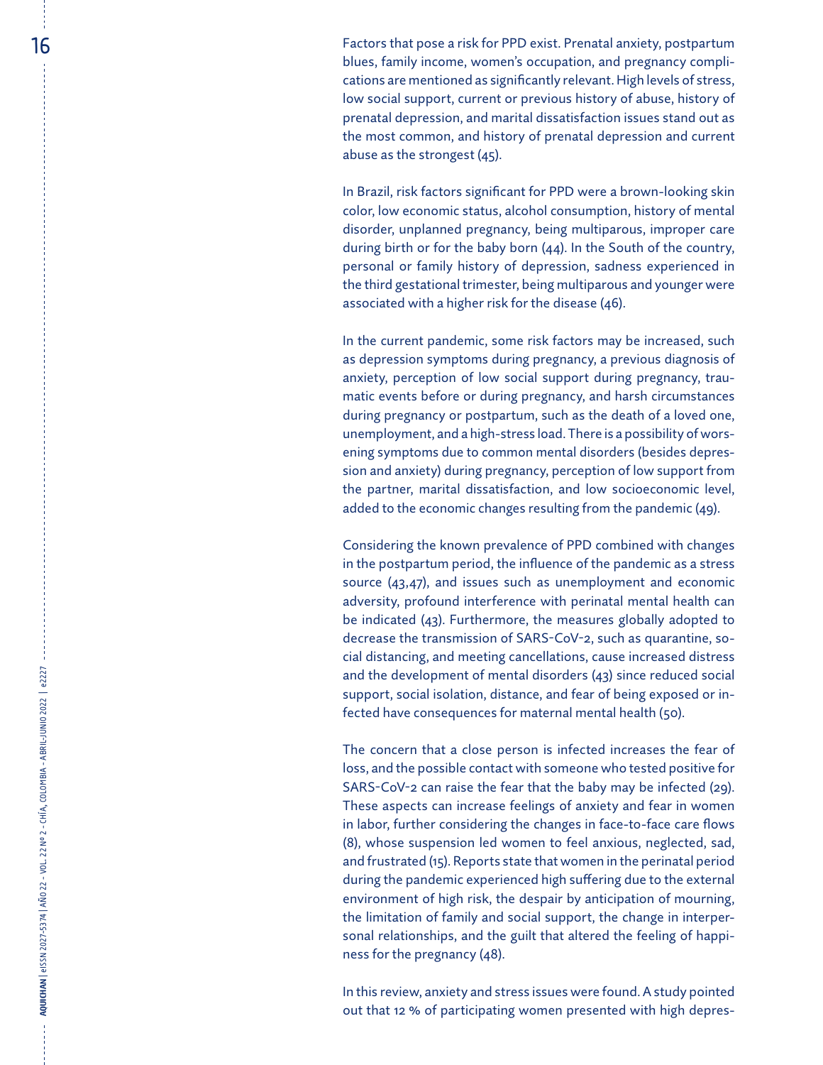$16 \,$  Factors that pose a risk for PPD exist. Prenatal anxiety, postpartum blues, family income, women's occupation, and pregnancy compli cations are mentioned as significantly relevant. High levels of stress, low social support, current or previous history of abuse, history of prenatal depression, and marital dissatisfaction issues stand out as the most common, and history of prenatal depression and current abuse as the strongest (45).

> In Brazil, risk factors significant for PPD were a brown-looking skin color, low economic status, alcohol consumption, history of mental disorder, unplanned pregnancy, being multiparous, improper care during birth or for the baby born (44). In the South of the country, personal or family history of depression, sadness experienced in the third gestational trimester, being multiparous and younger were associated with a higher risk for the disease (46).

> In the current pandemic, some risk factors may be increased, such as depression symptoms during pregnancy, a previous diagnosis of anxiety, perception of low social support during pregnancy, trau matic events before or during pregnancy, and harsh circumstances during pregnancy or postpartum, such as the death of a loved one, unemployment, and a high-stress load. There is a possibility of wors ening symptoms due to common mental disorders (besides depres sion and anxiety) during pregnancy, perception of low support from the partner, marital dissatisfaction, and low socioeconomic level, added to the economic changes resulting from the pandemic (49).

> Considering the known prevalence of PPD combined with changes in the postpartum period, the influence of the pandemic as a stress source (43,47), and issues such as unemployment and economic adversity, profound interference with perinatal mental health can be indicated (43). Furthermore, the measures globally adopted to decrease the transmission of SARS-CoV-2, such as quarantine, so cial distancing, and meeting cancellations, cause increased distress and the development of mental disorders (43) since reduced social support, social isolation, distance, and fear of being exposed or in fected have consequences for maternal mental health (50).

> The concern that a close person is infected increases the fear of loss, and the possible contact with someone who tested positive for SARS-CoV-2 can raise the fear that the baby may be infected (29). These aspects can increase feelings of anxiety and fear in women in labor, further considering the changes in face-to-face care flows (8), whose suspension led women to feel anxious, neglected, sad, and frustrated (15). Reports state that women in the perinatal period during the pandemic experienced high suffering due to the external environment of high risk, the despair by anticipation of mourning, the limitation of family and social support, the change in interper sonal relationships, and the guilt that altered the feeling of happi ness for the pregnancy (48).

> In this review, anxiety and stress issues were found. A study pointed out that 12 % of participating women presented with high depres -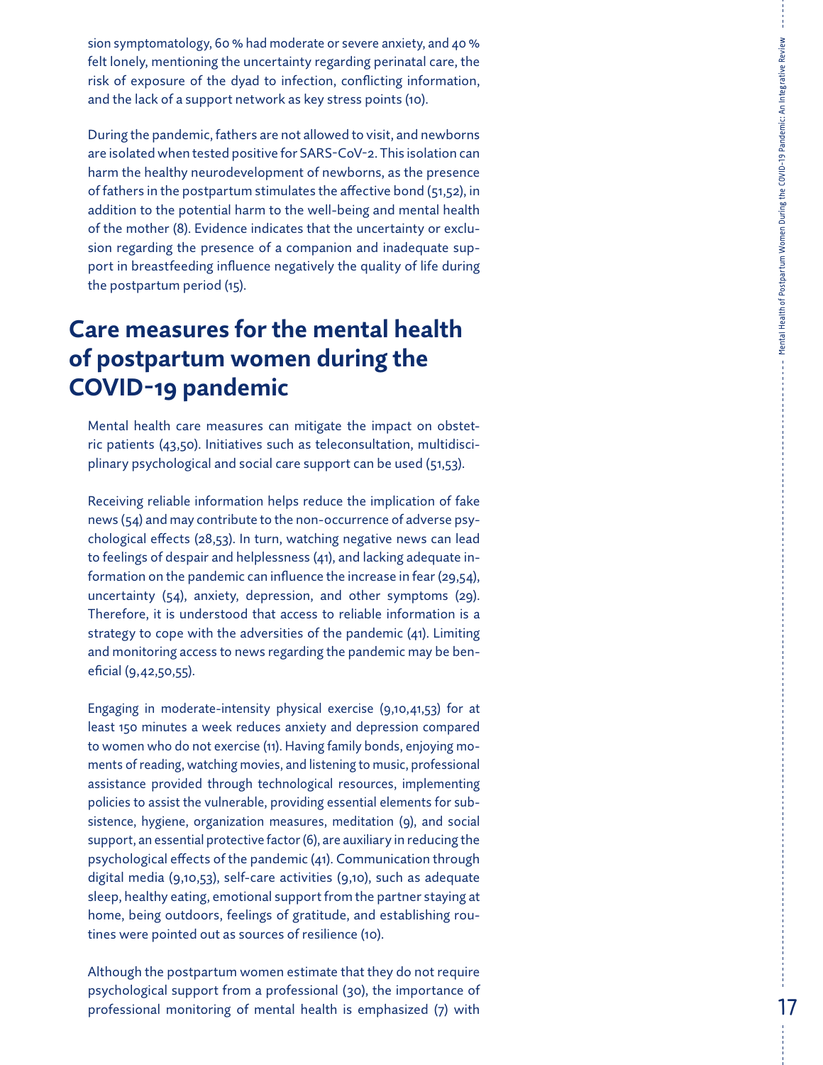sion symptomatology, 60 % had moderate or severe anxiety, and 40 %<br>felt lonely, mentioning the uncertainty regarding perinatal care, the risk of exposure of the dyad to infection, conflicting information, and the lack of a support network as key stress points (10).

During the pandemic, fathers are not allowed to visit, and newborns are isolated when tested positive for SARS-CoV-2. This isolation can harm the healthy neurodevelopment of newborns, as the presence of fathers in the postpartum stimulates the affective bond (51,52), in addition to the potential harm to the well-being and mental health of the mother (8). Evidence indicates that the uncertainty or exclu sion regarding the presence of a companion and inadequate sup port in breastfeeding influence negatively the quality of life during the postpartum period (15).

## **Care measures for the mental health of postpartum women during the COVID-19 pandemic**

Mental health care measures can mitigate the impact on obstet ric patients (43,50). Initiatives such as teleconsultation, multidisci plinary psychological and social care support can be used (51,53).

Receiving reliable information helps reduce the implication of fake news (54) and may contribute to the non-occurrence of adverse psy chological effects (28,53). In turn, watching negative news can lead to feelings of despair and helplessness (41), and lacking adequate in formation on the pandemic can influence the increase in fear (29,54), uncertainty (54), anxiety, depression, and other symptoms (29). Therefore, it is understood that access to reliable information is a strategy to cope with the adversities of the pandemic (41). Limiting and monitoring access to news regarding the pandemic may be ben eficial (9,42,50,55).

Engaging in moderate-intensity physical exercise (9,10,41,53) for at least 150 minutes a week reduces anxiety and depression compared to women who do not exercise (11). Having family bonds, enjoying mo ments of reading, watching movies, and listening to music, professional assistance provided through technological resources, implementing policies to assist the vulnerable, providing essential elements for sub sistence, hygiene, organization measures, meditation (9), and social support, an essential protective factor (6), are auxiliary in reducing the psychological effects of the pandemic (41). Communication through digital media (9,10,53), self-care activities (9,10), such as adequate sleep, healthy eating, emotional support from the partner staying at home, being outdoors, feelings of gratitude, and establishing rou tines were pointed out as sources of resilience (10).

Although the postpartum women estimate that they do not require psychological support from a professional (30), the importance of professional monitoring of mental health is emphasized (7) with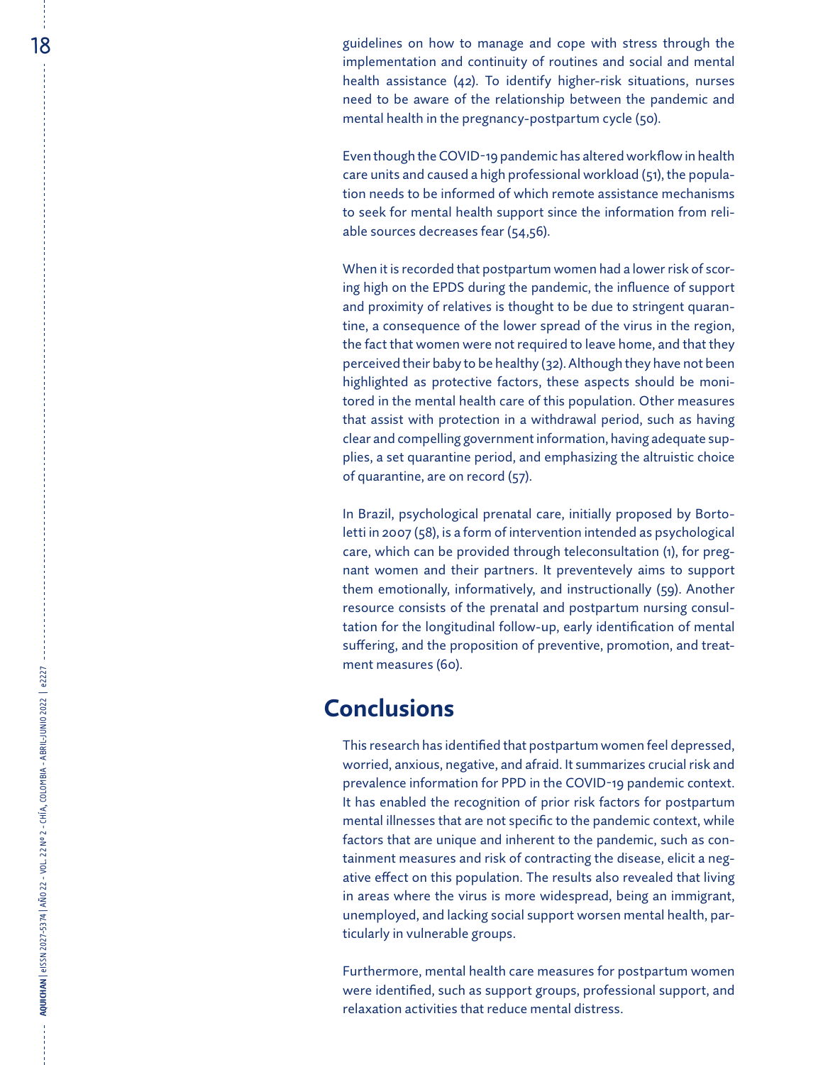$18$  and the manage and cope with stress through the symmetry symmetric symmetric symmetric symmetric symmetric symmetric symmetric symmetric symmetric symmetric symmetric symmetric symmetric symmetric symmetric symmetric implementation and continuity of routines and social and mental health assistance (42). To identify higher-risk situations, nurses need to be aware of the relationship between the pandemic and mental health in the pregnancy-postpartum cycle (50).

> Even though the COVID-19 pandemic has altered workflow in health care units and caused a high professional workload (51), the popula tion needs to be informed of which remote assistance mechanisms to seek for mental health support since the information from reli able sources decreases fear (54,56).

> When it is recorded that postpartum women had a lower risk of scor ing high on the EPDS during the pandemic, the influence of support and proximity of relatives is thought to be due to stringent quaran tine, a consequence of the lower spread of the virus in the region, the fact that women were not required to leave home, and that they perceived their baby to be healthy (32). Although they have not been highlighted as protective factors, these aspects should be moni tored in the mental health care of this population. Other measures that assist with protection in a withdrawal period, such as having clear and compelling government information, having adequate sup plies, a set quarantine period, and emphasizing the altruistic choice of quarantine, are on record (57).

> In Brazil, psychological prenatal care, initially proposed by Borto letti in 2007 (58), is a form of intervention intended as psychological care, which can be provided through teleconsultation (1), for preg nant women and their partners. It preventevely aims to support them emotionally, informatively, and instructionally (59). Another resource consists of the prenatal and postpartum nursing consul tation for the longitudinal follow-up, early identification of mental suffering, and the proposition of preventive, promotion, and treat ment measures (60).

### **Conclusions**

This research has identified that postpartum women feel depressed, worried, anxious, negative, and afraid. It summarizes crucial risk and prevalence information for PPD in the COVID-19 pandemic context. It has enabled the recognition of prior risk factors for postpartum mental illnesses that are not specific to the pandemic context, while factors that are unique and inherent to the pandemic, such as con tainment measures and risk of contracting the disease, elicit a neg ative effect on this population. The results also revealed that living in areas where the virus is more widespread, being an immigrant, unemployed, and lacking social support worsen mental health, par ticularly in vulnerable groups.

Furthermore, mental health care measures for postpartum women were identified, such as support groups, professional support, and relaxation activities that reduce mental distress.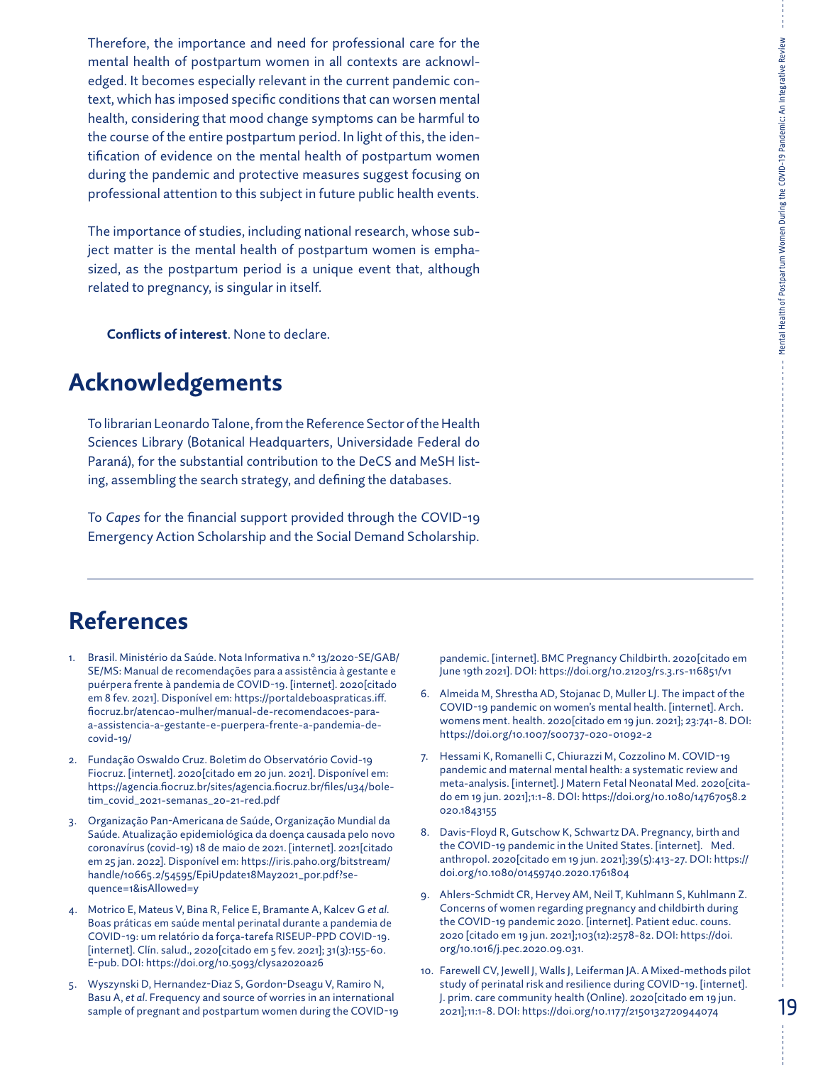Therefore, the importance and need for professional care for the mental health of postpartum women in all contexts are acknowledged. It becomes especially relevant in the current pandemic context, which has imposed specific conditions that can worsen mental health, considering that mood change symptoms can be harmful to the course of the entire postpartum period. In light of this, the identification of evidence on the mental health of postpartum women during the pandemic and protective measures suggest focusing on professional attention to this subject in future public health events.

The importance of studies, including national research, whose subject matter is the mental health of postpartum women is emphasized, as the postpartum period is a unique event that, although related to pregnancy, is singular in itself.

**Conflicts of interest**. None to declare.

## **Acknowledgements**

To librarian Leonardo Talone, from the Reference Sector of the Health Sciences Library (Botanical Headquarters, Universidade Federal do Paraná), for the substantial contribution to the DeCS and MeSH listing, assembling the search strategy, and defining the databases.

To *Capes* for the financial support provided through the COVID-19 Emergency Action Scholarship and the Social Demand Scholarship.

## **References**

- 1. Brasil. Ministério da Saúde. Nota Informativa n.º 13/2020-SE/GAB/ SE/MS: Manual de recomendações para a assistência à gestante e puérpera frente à pandemia de COVID-19. [internet]. 2020[citado em 8 fev. 2021]. Disponível em: [https://portaldeboaspraticas.iff.](https://portaldeboaspraticas.iff.fiocruz.br/atencao-mulher/manual-de-recomendacoes-para-a-assistencia-a-gestante-e-puerpera-frente-a-pandemia-de-covid-19/) [fiocruz.br/atencao-mulher/manual-de-recomendacoes-para](https://portaldeboaspraticas.iff.fiocruz.br/atencao-mulher/manual-de-recomendacoes-para-a-assistencia-a-gestante-e-puerpera-frente-a-pandemia-de-covid-19/)[a-assistencia-a-gestante-e-puerpera-frente-a-pandemia-de](https://portaldeboaspraticas.iff.fiocruz.br/atencao-mulher/manual-de-recomendacoes-para-a-assistencia-a-gestante-e-puerpera-frente-a-pandemia-de-covid-19/)[covid-19/](https://portaldeboaspraticas.iff.fiocruz.br/atencao-mulher/manual-de-recomendacoes-para-a-assistencia-a-gestante-e-puerpera-frente-a-pandemia-de-covid-19/)
- 2. Fundação Oswaldo Cruz. Boletim do Observatório Covid-19 Fiocruz. [internet]. 2020[citado em 20 jun. 2021]. Disponível em: https://agencia.fiocruz.br/sites/agencia.fiocruz.br/files/u34/boletim\_covid\_2021-semanas\_20-21-red.pdf
- 3. Organização Pan-Americana de Saúde, Organização Mundial da Saúde. Atualização epidemiológica da doença causada pelo novo coronavírus (covid-19) 18 de maio de 2021. [internet]. 2021[citado em 25 jan. 2022]. Disponível em: [https://iris.paho.org/bitstream/](https://iris.paho.org/bitstream/handle/10665.2/54595/EpiUpdate18May2021_por.pdf?sequence=1&isAllowed=y) [handle/10665.2/54595/EpiUpdate18May2021\\_por.pdf?se](https://iris.paho.org/bitstream/handle/10665.2/54595/EpiUpdate18May2021_por.pdf?sequence=1&isAllowed=y)[quence=1&isAllowed=y](https://iris.paho.org/bitstream/handle/10665.2/54595/EpiUpdate18May2021_por.pdf?sequence=1&isAllowed=y)
- 4. Motrico E, Mateus V, Bina R, Felice E, Bramante A, Kalcev G *et al*. Boas práticas em saúde mental perinatal durante a pandemia de COVID-19: um relatório da força-tarefa RISEUP-PPD COVID-19. [internet]. Clín. salud., 2020[citado em 5 fev. 2021]; 31(3):155-60. E-pub. DOI: <https://doi.org/10.5093/clysa2020a26>
- 5. Wyszynski D, Hernandez-Diaz S, Gordon-Dseagu V, Ramiro N, Basu A, *et al*. Frequency and source of worries in an international sample of pregnant and postpartum women during the COVID-19

pandemic. [internet]. BMC Pregnancy Childbirth. 2020[citado em June 19th 2021]. DOI:<https://doi.org/10.21203/rs.3.rs-116851/v1>

- 6. Almeida M, Shrestha AD, Stojanac D, Muller LJ. The impact of the COVID-19 pandemic on women's mental health. [internet]. Arch. womens ment. health. 2020[citado em 19 jun. 2021]; 23:741-8. DOI: <https://doi.org/10.1007/s00737-020-01092-2>
- 7. Hessami K, Romanelli C, Chiurazzi M, Cozzolino M. COVID-19 pandemic and maternal mental health: a systematic review and meta-analysis. [internet]. J Matern Fetal Neonatal Med. 2020[citado em 19 jun. 2021];1:1-8. DOI: [https://doi.org/10.1080/14767058.2](https://doi.org/10.1080/14767058.2020.1843155) [020.1843155](https://doi.org/10.1080/14767058.2020.1843155)
- 8. Davis-Floyd R, Gutschow K, Schwartz DA. Pregnancy, birth and the COVID-19 pandemic in the United States. [internet]. Med. anthropol. 2020[citado em 19 jun. 2021];39(5):413-27. DOI: [https://](https://doi.org/10.1080/01459740.2020.1761804) [doi.org/10.1080/01459740.2020.1761804](https://doi.org/10.1080/01459740.2020.1761804)
- 9. Ahlers-Schmidt CR, Hervey AM, Neil T, Kuhlmann S, Kuhlmann Z. Concerns of women regarding pregnancy and childbirth during the COVID-19 pandemic 2020. [internet]. Patient educ. couns. 2020 [citado em 19 jun. 2021];103(12):2578-82. DOI: [https://doi.](https://doi.org/10.1016/j.pec.2020.09.031) [org/10.1016/j.pec.2020.09.031](https://doi.org/10.1016/j.pec.2020.09.031).
- 10. Farewell CV, Jewell J, Walls J, Leiferman JA. A Mixed-methods pilot study of perinatal risk and resilience during COVID-19. [internet]. J. prim. care community health (Online). 2020[citado em 19 jun. 2021];11:1-8. DOI: <https://doi.org/10.1177/2150132720944074>

Mental Health of Postpartum Women During the COVID-19 Pandemic: An Integrative Review

Mental Health of Postpartum Women During the COVID-19 Pandemic: An Integrative Review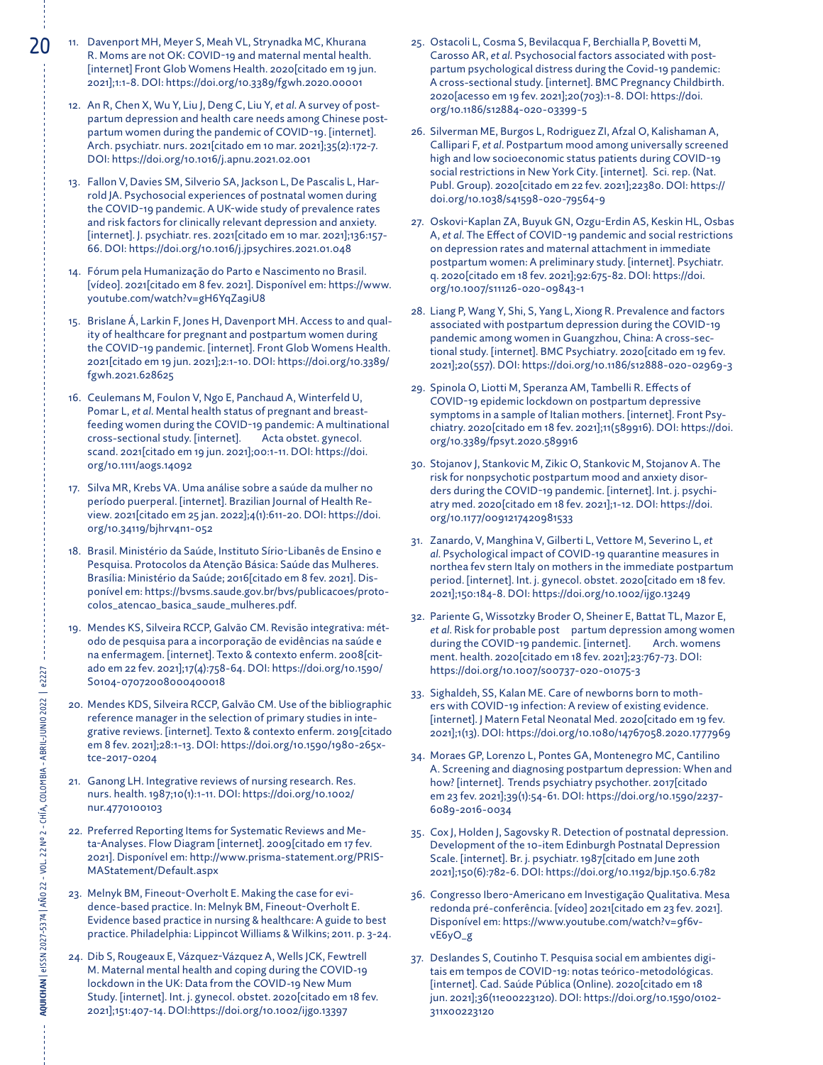- 20 11. Davenport MH, Meyer S, Meah VL, Strynadka MC, Khurana R. Moms are not OK: COVID-19 and maternal mental health. [internet] Front Glob Womens Health. 2020[citado em 19 jun. 2021];1:1-8. DOI: <https://doi.org/10.3389/fgwh.2020.00001>
	- 12. An R, Chen X, Wu Y, Liu J, Deng C, Liu Y, *et al*. A survey of postpartum depression and health care needs among Chinese postpartum women during the pandemic of COVID-19. [internet]. Arch. psychiatr. nurs. 2021[citado em 10 mar. 2021];35(2):172-7. DOI:<https://doi.org/10.1016/j.apnu.2021.02.001>
	- 13. Fallon V, Davies SM, Silverio SA, Jackson L, De Pascalis L, Harrold JA. Psychosocial experiences of postnatal women during the COVID-19 pandemic. A UK-wide study of prevalence rates and risk factors for clinically relevant depression and anxiety. [internet]. J. psychiatr. res. 2021[citado em 10 mar. 2021];136:157- 66. DOI:<https://doi.org/10.1016/j.jpsychires.2021.01.048>
	- 14. Fórum pela Humanização do Parto e Nascimento no Brasil. [vídeo]. 2021[citado em 8 fev. 2021]. Disponível em: [https://www.](https://www.youtube.com/watch?v=gH6YqZa9iU8) [youtube.com/watch?v=gH6YqZa9iU8](https://www.youtube.com/watch?v=gH6YqZa9iU8)
	- 15. Brislane Á, Larkin F, Jones H, Davenport MH. Access to and quality of healthcare for pregnant and postpartum women during the COVID-19 pandemic. [internet]. Front Glob Womens Health. 2021[citado em 19 jun. 2021];2:1-10. DOI: [https://doi.org/10.3389/](https://doi.org/10.3389/fgwh.2021.628625) [fgwh.2021.628625](https://doi.org/10.3389/fgwh.2021.628625)
	- 16. Ceulemans M, Foulon V, Ngo E, Panchaud A, Winterfeld U, Pomar L, *et al*. Mental health status of pregnant and breastfeeding women during the COVID-19 pandemic: A multinational cross-sectional study. [internet]. Acta obstet. gynecol. scand. 2021[citado em 19 jun. 2021];00:1-11. DOI: [https://doi.](https://doi.org/10.1111/aogs.14092) [org/10.1111/aogs.14092](https://doi.org/10.1111/aogs.14092)
	- 17. Silva MR, Krebs VA. Uma análise sobre a saúde da mulher no período puerperal. [internet]. Brazilian Journal of Health Review. 2021[citado em 25 jan. 2022];4(1):611-20. DOI: [https://doi.](https://doi.org/10.34119/bjhrv4n1-052) [org/10.34119/bjhrv4n1-052](https://doi.org/10.34119/bjhrv4n1-052)
	- 18. Brasil. Ministério da Saúde, Instituto Sírio-Libanês de Ensino e Pesquisa. Protocolos da Atenção Básica: Saúde das Mulheres. Brasília: Ministério da Saúde; 2016[citado em 8 fev. 2021]. Disponível em: [https://bvsms.saude.gov.br/bvs/publicacoes/proto](https://bvsms.saude.gov.br/bvs/publicacoes/protocolos_atencao_basica_saude_mulheres.pdf)[colos\\_atencao\\_basica\\_saude\\_mulheres.pdf](https://bvsms.saude.gov.br/bvs/publicacoes/protocolos_atencao_basica_saude_mulheres.pdf).
	- 19. Mendes KS, Silveira RCCP, Galvão CM. Revisão integrativa: método de pesquisa para a incorporação de evidências na saúde e na enfermagem. [internet]. Texto & contexto enferm. 2008[citado em 22 fev. 2021];17(4):758-64. DOI: [https://doi.org/10.1590/](https://doi.org/10.1590/S0104-07072008000400018) [S0104-07072008000400018](https://doi.org/10.1590/S0104-07072008000400018)
	- 20. Mendes KDS, Silveira RCCP, Galvão CM. Use of the bibliographic reference manager in the selection of primary studies in integrative reviews. [internet]. Texto & contexto enferm. 2019[citado em 8 fev. 2021];28:1-13. DOI: [https://doi.org/10.1590/1980-265x](https://doi.org/10.1590/1980-265x-tce-2017-0204)[tce-2017-0204](https://doi.org/10.1590/1980-265x-tce-2017-0204)
	- 21. Ganong LH. Integrative reviews of nursing research. Res. nurs. health. 1987;10(1):1-11. DOI: [https://doi.org/10.1002/](https://doi.org/10.1002/nur.4770100103) [nur.4770100103](https://doi.org/10.1002/nur.4770100103)
	- 22. Preferred Reporting Items for Systematic Reviews and Meta-Analyses. Flow Diagram [internet]. 2009[citado em 17 fev. 2021]. Disponível em: [http://www.prisma-statement.org/PRIS-](http://www.prisma-statement.org/PRISMAStatement/Default.aspx)[MAStatement/Default.aspx](http://www.prisma-statement.org/PRISMAStatement/Default.aspx)
	- 23. Melnyk BM, Fineout-Overholt E. Making the case for evidence-based practice. In: Melnyk BM, Fineout-Overholt E. Evidence based practice in nursing & healthcare: A guide to best practice. Philadelphia: Lippincot Williams & Wilkins; 2011. p. 3-24.
	- 24. Dib S, Rougeaux E, Vázquez-Vázquez A, Wells JCK, Fewtrell M. Maternal mental health and coping during the COVID‐19 lockdown in the UK: Data from the COVID‐19 New Mum Study. [internet]. Int. j. gynecol. obstet. 2020[citado em 18 fev. 2021];151:407-14. DOI:<https://doi.org/10.1002/ijgo.13397>
- 25. Ostacoli L, Cosma S, Bevilacqua F, Berchialla P, Bovetti M, Carosso AR, *et al*. Psychosocial factors associated with postpartum psychological distress during the Covid-19 pandemic: A cross-sectional study. [internet]. BMC Pregnancy Childbirth. 2020[acesso em 19 fev. 2021];20(703):1-8. DOI: [https://doi.](https://doi.org/10.1186/s12884-020-03399-5) [org/10.1186/s12884-020-03399-5](https://doi.org/10.1186/s12884-020-03399-5)
- 26. Silverman ME, Burgos L, Rodriguez ZI, Afzal O, Kalishaman A, Callipari F, *et al*. Postpartum mood among universally screened high and low socioeconomic status patients during COVID-19 social restrictions in New York City. [internet]. Sci. rep. (Nat. Publ. Group). 2020[citado em 22 fev. 2021];22380. DOI: [https://](https://doi.org/10.1038/s41598-020-79564-9) [doi.org/10.1038/s41598-020-79564-9](https://doi.org/10.1038/s41598-020-79564-9)
- 27. Oskovi-Kaplan ZA, Buyuk GN, Ozgu-Erdin AS, Keskin HL, Osbas A, *et al*. The Effect of COVID-19 pandemic and social restrictions on depression rates and maternal attachment in immediate postpartum women: A preliminary study. [internet]. Psychiatr. q. 2020[citado em 18 fev. 2021];92:675-82. DOI: [https://doi.](https://doi.org/10.1007/s11126-020-09843-1) [org/10.1007/s11126-020-09843-1](https://doi.org/10.1007/s11126-020-09843-1)
- 28. Liang P, Wang Y, Shi, S, Yang L, Xiong R. Prevalence and factors associated with postpartum depression during the COVID-19 pandemic among women in Guangzhou, China: A cross-sectional study. [internet]. BMC Psychiatry. 2020[citado em 19 fev. 2021];20(557). DOI: https://doi.org/10.1186/s12888-020-02969-3
- 29. Spinola O, Liotti M, Speranza AM, Tambelli R. Effects of COVID-19 epidemic lockdown on postpartum depressive symptoms in a sample of Italian mothers. [internet]. Front Psychiatry. 2020[citado em 18 fev. 2021];11(589916). DOI: [https://doi.](https://doi.org/10.3389/fpsyt.2020.589916) [org/10.3389/fpsyt.2020.589916](https://doi.org/10.3389/fpsyt.2020.589916)
- 30. Stojanov J, Stankovic M, Zikic O, Stankovic M, Stojanov A. The risk for nonpsychotic postpartum mood and anxiety disorders during the COVID-19 pandemic. [internet]. Int. j. psychiatry med. 2020[citado em 18 fev. 2021];1-12. DOI: [https://doi.](https://doi.org/10.1177/0091217420981533) [org/10.1177/0091217420981533](https://doi.org/10.1177/0091217420981533)
- 31. Zanardo, V, Manghina V, Gilberti L, Vettore M, Severino L, *et al*. Psychological impact of COVID‐19 quarantine measures in northea fev stern Italy on mothers in the immediate postpartum period. [internet]. Int. j. gynecol. obstet. 2020[citado em 18 fev. 2021];150:184-8. DOI:<https://doi.org/10.1002/ijgo.13249>
- 32. Pariente G, Wissotzky Broder O, Sheiner E, Battat TL, Mazor E, *et al*. Risk for probable post partum depression among women during the COVID-19 pandemic. [internet]. Arch. womens ment. health. 2020[citado em 18 fev. 2021];23:767-73. DOI: <https://doi.org/10.1007/s00737-020-01075-3>
- 33. Sighaldeh, SS, Kalan ME. Care of newborns born to mothers with COVID-19 infection: A review of existing evidence. [internet]. J Matern Fetal Neonatal Med. 2020[citado em 19 fev. 2021];1(13). DOI: <https://doi.org/10.1080/14767058.2020.1777969>
- 34. Moraes GP, Lorenzo L, Pontes GA, Montenegro MC, Cantilino A. Screening and diagnosing postpartum depression: When and how? [internet]. Trends psychiatry psychother. 2017[citado em 23 fev. 2021];39(1):54-61. DOI: [https://doi.org/10.1590/2237-](https://doi.org/10.1590/2237-6089-2016-0034) [6089-2016-0034](https://doi.org/10.1590/2237-6089-2016-0034)
- 35. Cox J, Holden J, Sagovsky R. Detection of postnatal depression. Development of the 10-item Edinburgh Postnatal Depression Scale. [internet]. Br. j. psychiatr. 1987[citado em June 20th 2021];150(6):782-6. DOI:<https://doi.org/10.1192/bjp.150.6.782>
- 36. Congresso Ibero-Americano em Investigação Qualitativa. Mesa redonda pré-conferência. [vídeo] 2021[citado em 23 fev. 2021]. Disponível em: [https://www.youtube.com/watch?v=9f6v](https://www.youtube.com/watch?v=9f6vvE6yO_g)[vE6yO\\_g](https://www.youtube.com/watch?v=9f6vvE6yO_g)
- 37. Deslandes S, Coutinho T. Pesquisa social em ambientes digitais em tempos de COVID-19: notas teórico-metodológicas. [internet]. Cad. Saúde Pública (Online). 2020[citado em 18 jun. 2021];36(11e00223120). DOI: [https://doi.org/10.1590/0102-](https://doi.org/10.1590/0102-311x00223120) [311x00223120](https://doi.org/10.1590/0102-311x00223120)